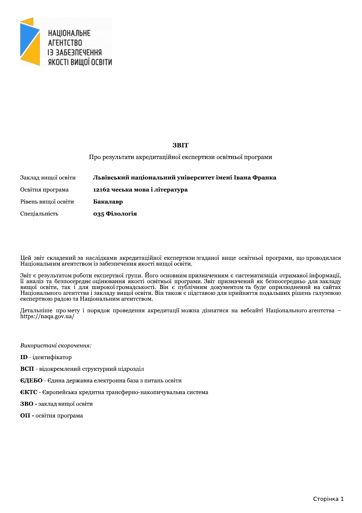

# **3BIT**

Про результати акредитаційної експертизи освітньої програми

| Заклад вищої освіти | Львівський національний університет імені Івана Франка |
|---------------------|--------------------------------------------------------|
| Освітня програма    | 12162 чеська мова і література                         |
| Рівень вищої освіти | Бакалавр                                               |
| Спеціальність       | 035 Філологія                                          |

Цей звіт складений за наслідками акредитаційної експертизи згаданої вище освітньої програми, що проводилася Національним агентством із забезпечення якості вищої освіти.

Звіт є результатом роботи експертної групи. Його основним призначенням є систематизація отриманої інформації, льн с результатом роооти експертнот групи. иото основним призначенним с систематизации отриманот нерормаци,<br>п аналіз та безпосередне оцінювання якості освітньої програми. Звіт призначений як безпосередньо для закладу<br>вищо експертною радою та Національним агентством.

Детальніше про мету і порядок проведення акредитації можна дізнатися на вебсайті Національного агентства – https://naqa.gov.ua/

Використані скорочення:

**ID** - ідентифікатор

- ВСП відокремлений структурний підрозділ
- ЄДЕБО Єдина державна електронна база з питань освіти
- **ЄКТС** Європейська кредитна трансферно-накопичувальна система
- ЗВО заклад вишої освіти
- ОП освітня програма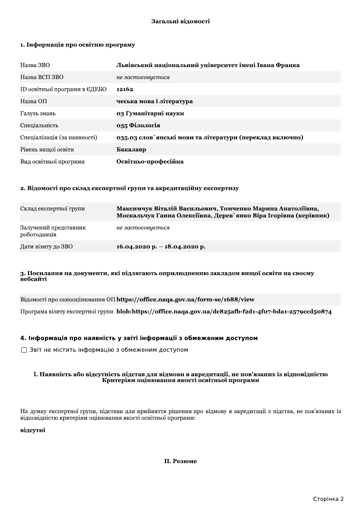# Загальні відомості

# 1. Інформація про освітню програму

| Назва ЗВО                     | Львівський національний університет імені Івана Франка   |
|-------------------------------|----------------------------------------------------------|
| Назва ВСП ЗВО                 | не застосовується                                        |
| ID освітньої програми в ЄДЕБО | 12162                                                    |
| Назва ОП                      | чеська мова і література                                 |
| Галузь знань                  | 03 Гуманітарні науки                                     |
| Спеціальність                 | 035 Філологія                                            |
| Спеціалізація (за наявності)  | 035.03 слов'янські мови та літератури (переклад включно) |
| Рівень вищої освіти           | Бакалавр                                                 |
| Вид освітньої програми        | Освітньо-професійна                                      |

# 2. Відомості про склад експертної групи та акредитаційну експертизу

| Склад експертної групи                | Максимчук Віталій Васильович, Томченко Марина Анатоліївна,<br>Москальчук Ганна Олексіївна, Дерев'янко Віра Ігорівна (керівник) |
|---------------------------------------|--------------------------------------------------------------------------------------------------------------------------------|
| Залучений представник<br>роботодавців | не застосовується                                                                                                              |
| Дати візиту до ЗВО                    | 16.04.2020 p. - 18.04.2020 p.                                                                                                  |

## 3. Посилання на документи, які підлягають оприлюдненню закладом вищої освіти на своєму вебсайті

Відомості про самооцінювання ОП https://office.naqa.gov.ua/form-se/1688/view

Програма візиту експертної групи blob:https://office.naqa.gov.ua/dc825afb-f2d1-4fo7-bda1-2579ccd50874

# 4. Інформація про наявність у звіті інформації з обмеженим доступом

□ Звіт не містить інформацію з обмеженим доступом

## І. Наявність або відсутність підстав для відмови в акредитації, не пов'язаних із відповідністю Критеріям оцінювання якості освітньої програми

На думку експертної групи, підстави для прийняття рішення про відмову в акредитації з підстав, не пов'язаних із відповідністю критеріям оцінювання якості освітньої програми:

# відсутні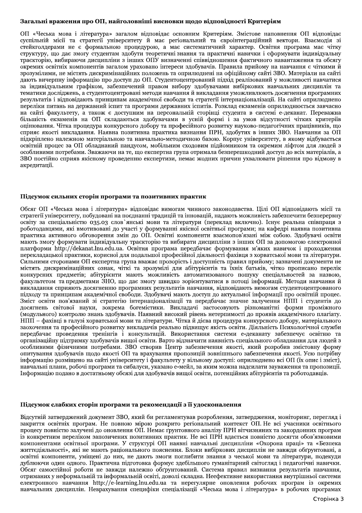# Загальні враження про OII, наиго

Затальні враження про ОН, найтоловніші виснович шодо відновідності Критеріям О<br/>и «Неська мова і література» загалом відповіда осношня Критеріям. Змістове напонення О<br/>П відповіда осношня Критеріям Зистори. Виаскод результатів і відповідають принципам академічної свободи та стратегії інтернаціоналізації. На сайті оприлюднено перелів перелів на державний іспит та програми державних іспитно. Розылад екзаменів оприлюднюеться завчасно н

3950 постябно скромать обмани высоком и политических практик. Высоком сколько сколько и постябно постябно постябно постябно постябно постябно постябно постябно постябно постябно постябно постябно постябно постябно постяб

пировании романов на сами у нажерен су и чамуютьству в клиемому доступи. оприжания в сити и сами и выполнительно составляют в приновании и с нами и собудать на сити с составляют на приновании и предлагает на приновании и Підсумок слабких сторін програми та рекомендації з її удосконалення<br>
Відсутній затверджений документ ЗВО, який би регламентував розроблення, а<br/>ятвердження, моніторинг, перегляд і закриття освітніх програм. Не повною закриття освітніх програм. Не повною мірою розкрито регіональний контекст ОП. Не всі учасники освітнього процесу повністю залучені до оновлення OH. Немец итонесу повністю залучені до оновлення OH. Неме груптовного аналіз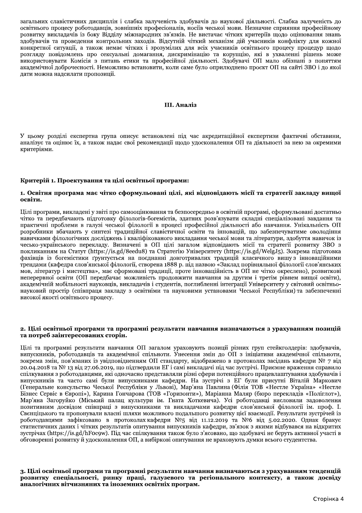загальних славістичних дисциплін і слабка залученість здобувачів до наукової діяльності. Слабка залученість до освітнього процесу роботодавців, зовнішніх професіоналів, носіїв чеської мови. Незначне сприяння професійному розвитку викладачів із боку Відділу міжнародних зв'язків. Не вистачає чітких критеріїв щодо оцінювання знань здобувачів та проведення контрольних заходів. Відсутній чіткий механізм дій учасників конфлікту для кожної конкретної ситуації, а також немає чітких і зрозумілих для всіх учасників освітнього процесу процедур щодо розгляду повідомлень про сексуальні домагання, дискримінацію та корупцію, які в ухваленні рішень може використовувати Комісія з питань етики та професійної діяльності. Здобувачі ОП мало обізнані з поняттям академічної доброчесності. Неможливо встановити, коли саме було оприлюднено проєкт ОП на сайті ЗВО і до якої дати можна надсилати пропозиції.

#### III. Аналіз

У цьому розділі експертна група описує встановлені під час акредитаційної експертизи фактичні обставини, аналізує та оцінює їх, а також надає свої рекомендації щодо удосконалення ОП та діяльності за нею за окремими критеріями.

## Критерій 1. Проектування та цілі освітньої програми:

## 1. Освітня програма має чітко сформульовані цілі, які відповідають місії та стратегії закладу вищої освіти.

Цілі програми, викладені у звіті про самооцінювання та безпосередньо в освітній програмі, сформульовані достатньо чітко та передбачають підготовку філологів-богемістів, здатних розв'язувати складні спеціалізовані завдання та практичні проблеми в галузі чеської філології в процесі професійної діяльності або навчання. Унікальність ОП розробники вбачають у синтезі традиційної славістичної освіти та інновацій, що забезпечуватиме оволодіння навичками філологічних досліджень і кваліфікованого викладання чеської мови та літератури, здобуття навичок із чесько-українського переклалу. Визначені в ОП пілі загалом вілповілають місії та стратегії розвитку ЗВО з покликанням на Статут (https://is.gd/8eedu8) та Стратегію Університету (https://is.gd/WelgJ5). Зокрема підготовка фахівців із богемістики ґрунтується на поєднанні довготривалих традицій класичного вишу з інноваційними трендами (кафедра слов'янської філології, створена 1888 р. під назвою «Заклад порівняльної філології слов'янських мов, літератур і мистецтва», має сформовані традиції, проте інноваційність в ОП не чітко окреслено), розвиткові неперервної освіти (ОП передбачає можливість продовжити навчання за другим і третім рівнем вищої освіти), акалемічній мобільності науковців, викладачів і студентів, поглибленні інтеграції Університету у світовий освітньонауковий простір (співпраця закладу з освітніми та науковими установами Чеської Республіки) та забезпеченні високої якості освітнього процесу.

#### 2. Цілі освітньої програми та програмні результати навчання визначаються з урахуванням позицій та потреб заінтересованих сторін.

Цілі та програмні результати навчання ОП загалом ураховують позиції різних груп стейкголдерів: здобувачів, випускників, роботодавців та академічної спільноти. Унесення змін до ОП з ініціативи академічної спільноти, зокрема змін, пов'язаних із увідповідненням ОП стандарту, відображено в протоколах засідань кафедри № 7 від 20.04.2018 та № 13 від 27.06.2019, що підтвердили ЕГ і самі викладачі під час зустрічі. Приємне враження справило спілкування з роботодавцями, які одночасно представляли різні сфери потенційного працевлаштування здобувачів і випускників та часто самі були випускниками кафедри. На зустрічі з ЕГ були присутні Віталій Маркович (Генеральне консульство Чеської Республіки у Львові), Мар'яна Павлина (Філія ТОВ «Нестле Україна» «Нестле Бізнес Сервіс в Європі»), Карина Гончарова (ТОВ «Горизонти»), Маріанна Маляр (бюро перекладів «Поліглот»), Мар'яна Загоруйко (Міський палац культури ім. Гната Хоткевича). Усі роботодавці висловили задоволення позитивним досвідом співпраці з випускниками та викладачами кафедри слов'янської філології ім. проф. І. Свенціцького та пропонували власні шляхи можливого подальшого розвитку цієї взаємодії. Результати зустрічей із роботодавцями зафіксовано в протоколах кафедри №5 від 11.12.2019 та №6 від 5.02.2020. Однак бракує статистичних даних і чітких результатів опитування випускників кафедри, зв'язок з якими відбувався на відкритих зустрічах (https://is.gd/hFocow). Під час спілкування також було з'ясовано, що здобувачі не беруть активної участі в обговоренні розвитку й удосконалення ОП, а вибіркові опитування не враховують думки всього студентства.

3. Цілі освітньої програми та програмні результати навчання визначаються з урахуванням тенденцій розвитку спеціальності, ринку праці, галузевого та регіонального контексту, а також досвіду аналогічних вітчизняних та іноземних освітніх програм.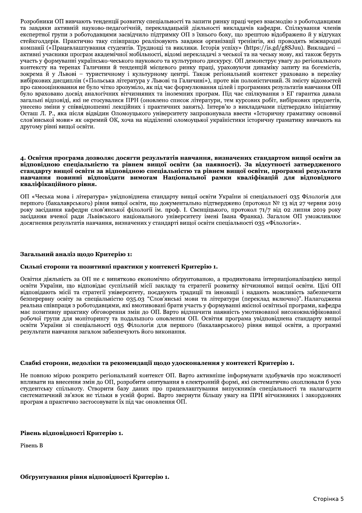Розробники ОП вивчають тенденції розвитку спеціальності та запити ринку праці через взаємодію з роботодавцями та завдяки активній науково-педагогічній, перекладацькій діяльності викладачів кафедри. Спілкування членів експертної групи з роботодавцями засвідчило підтримку ОП з їхнього боку, що зрештою відображено й у відгуках стейкголдерів. Практично таку співпрацю реалізовують завдяки організації тренінгів, які проводять міжнародні компанії («Працевлаштування студентів. Труднощі та виклики. Історія успіху» (https://is.gd/g8SJuu). Викладачі активні учасники програм академічної мобільності, відомі перекладачі з чеської та на чеську мову, які також беруть участь у формуванні українсько-чеського наукового та культурного дискурсу. ОП демонструє увагу до регіонального контексту на теренах Галичини й тенденцій місцевого ринку праці, ураховуючи динаміку запиту на богемістів, зокрема й у Львові - туристичному і культурному центрі. Також регіональний контекст ураховано в переліку вибіркових дисциплін («Польська література у Львові та Галичині»), проте він полоністичний. Зі змісту відомостей про самооцінювання не було чітко зрозуміло, як під час формулювання цілей і програмних результатів навчання ОП було враховано досвід аналогічних вітчизняних та іноземних програм. Під час спілкування з ЕГ гарантка давала загальні відповіді, які не стосувалися ПРН (оновлено список літератури, тем курсових робіт, вибіркових предметів, унесено зміни у співвідношенні лекційних і практичних занять). Інтерв'ю з викладачами підтвердило ініціативу Осташ Л. Р., яка після відвідин Оломоуцького університету запропонувала ввести «Історичну граматику основної слов'янської мови» як окремий ОК, хоча на відділенні оломоуцької україністики історичну граматику вивчають на другому рівні вищої освіти.

#### 4. Освітня програма дозволяє досягти результатів навчання, визначених стандартом вищої освіти за відповідною спеціальністю та рівнем вищої освіти (за наявності). За відсутності затвердженого станларту вишої освіти за вілповілною спеціальністю та рівнем вишої освіти, програмні результати навчання повинні відповідати вимогам Національної рамки кваліфікацій для відповідного кваліфікаційного рівня.

ОП «Чеська мова і література» увідповіднена стандарту вищої освіти України зі спеціальності 035 Філологія для першого (бакалаврського) рівня вищої освіти, що документально підтверджено (протокол № 13 від 27 червня 2019 року засідання кафедри слов'янської філології ім. проф. І. Свенціцького, протокол 71/7 від 02 липня 2019 року засідання вченої ради Львівського національного університету імені Івана Франка). Загалом ОП уможливлює досягнення результатів навчання, визначених у стандарті вищої освіти спеціальності 035 «Філологія».

## Загальний аналіз щодо Критерію 1:

## Сильні сторони та позитивні практики у контексті Критерію 1.

Освітня діяльність за ОП не є винятково економічно обґрунтованою, а продиктована інтернаціоналізацією вищої освіти України, що відповідає суспільній місії закладу та стратегії розвитку вітчизняної вищої освіти. Пілі ОП відповідають місії та стратегії університету, поєднують традиції та інновації і надають можливість забезпечити безперервну освіту за спеціальністю 035.03 "Слов'янські мови та літератури (переклад включно)". Налагоджена реальна співпраця з роботодавцями, які вмотивовані брати участь у формуванні якісної освітньої програми, кафедра має позитивну практику обговорення змін до ОП. Варто відзначити наявність умотивованої висококваліфікованої робочої групи для моніторингу та подальшого оновлення ОП. Освітня програма увідповіднена стандарту вищої освіти України зі спеціальності 035 Філологія для першого (бакалаврського) рівня вищої освіти, а програмні результати навчання загалом забезпечують його виконання.

## Слабкі сторони, недоліки та рекомендації щодо удосконалення у контексті Критерію 1.

Не повною мірою розкрито регіональний контекст ОП. Варто активніше інформувати здобувачів про можливості впливати на внесення змін до ОП, розробити опитування в електронній формі, які систематично охоплювали б усю студентську спільноту. Створити базу даних про працевлаштування випускників спеціальності та налагодити систематичний зв'язок не тільки в усній формі. Варто звернути більшу увагу на ПРН вітчизняних і закордонних програм а практично застосовувати їх під час оновлення ОП.

## Рівень відповідності Критерію 1.

Рівень В

# Обґрунтування рівня відповідності Критерію 1.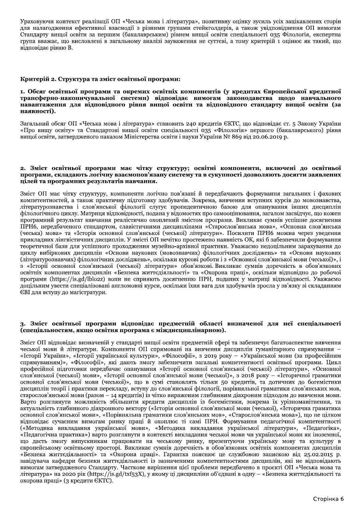Ураховуючи контекст реалізації ОП «Чеська мова і література», позитивну оцінку зусиль усіх зацікавлених сторін для налагодження ефективної взаємодії з різними групами стейкголдерів, а також увідповіднення ОП вимогам Стандарту вищої освіти за першим (бакалаврським) рівнем вищої освіти спеціальності 035 Філологія, експертна група вважає, що висловлені в загальному аналізі зауваження не суттєві, а тому критерій 1 оцінює як такий, що відповідає рівню В.

## Критерій 2. Структура та зміст освітньої програми:

#### 1. Обсяг освітньої програми та окремих освітніх компонентів (у кредитах Європейської кредитної трансферно-накопичувальної системи) відповідає вимогам законодавства щодо навчального навантаження для відповідного рівня вищої освіти та відповідного стандарту вищої освіти (за наявності).

Загальний обсяг ОП «Чеська мова і література» становить 240 кредитів ЄКТС, що відповідає ст. 5 Закону України «Про вищу освіту» та Стандартові вищої освіти спеціальності 035 «Філологія» першого (бакалаврського) рівня вищої освіти, затвердженого наказом Міністерства освіти і науки України № 869 від 20.06.2019 р.

#### 2. Зміст освітньої програми має чітку структуру; освітні компоненти, включені до освітньої програми, складають логічну взаємопов'язану систему та в сукупності дозволяють досягти заявлених цілей та програмних результатів навчання.

Зміст ОП має чітку структуру, компоненти логічно пов'язані й передбачають формування загальних і фахових компетентностей, а також практичну пілготовку здобувачів. Зокрема, вивчення вступних курсів до мовознавства, літературознавства і слов'янської філології слугує пропедевтичною базою для опанування інших дисциплін філологічного циклу. Матриця відповідності, подана у відомостях про самооцінювання, загалом засвідчує, що кожен програмний результат навчання реалістично охоплений змістом програми. Викликає сумнів успішне досягнення ПРН6, передбаченого стандартом, славістичними дисциплінами «Старослов'янська мова», «Основна слов'янська (чеська) мова» та «Історія основної слов'янської (чеської) літератури». Посилити ПРН6 можна через уведення прикладних лінгвістичних дисциплін. У змісті ОП нечітко простежено наявність ОК, які б забезпечили формування теоретичної бази для успішного проходження музейно-архівної практики. Уважаємо недоцільним зарахування до циклу вибіркових дисциплін «Основи наукових (мовознавчих) філологічних досліджень» та «Основи наукових (літературознавчих) філологічних досліджень», оскільки курсові роботи і з «Основної слов'янської мови (чеської)», і з «Історії основної слов'янської (чеської) літератури» обов'язкові Викликає сумнів доречність в обов'язкових освітніх компонентах дисциплін «Безпека життєдіяльності» та «Охорона праці», оскільки відповідно до робочої програми (https://is.gd/lblo2z) вони не сприяють досягненню ПРН, поданих у матриці відповідності. Уважаємо доцільним увести спеціалізовані англомовні курси, оскільки їхня вага для здобувачів зросла у зв'язку зі складанням ЄВІ для вступу до магістратури.

## 3. Зміст освітньої програми відповідає предметній області визначеної для неї спеціальності (спеціальностям, якщо освітня програма є міждисциплінарною).

Зміст ОП відповідає визначеній у стандарті вищої освіти предметній сфері та забезпечує багатоаспектне вивчення чеської мови й літератури. Компоненти ОП спрямовані на вивчення дисциплін гуманітарного спрямування -«Історії України», «Історії української культури», «Філософії», з 2019 року - «Української мови (за професійним спрямуванням)», «Філософії», які дають змогу забезпечити загальні компетентності освітньої програми. Цикл професійної підготовки передбачає опанування «Історії основної слов'янської (чеської) літератури», «Основної слов'янської (чеської) мови», «Історії основної слов'янської мови (чеської)», з 2018 року - «Історичної граматики основної слов'янської мови (чеської)», що в сумі становлять тільки 50 кредитів, та дотичних до богемістики дисциплін теорії і практики перекладу, вступу до слов'янської філології, порівняльної граматики слов'янських мов, старослов'янської мови (разом – 14 кредитів) із чітко вираженим глибинним діахроним підходом до вивчення мови. Варто розглянути можливість збільшити кредити дисциплін із богемістики, зокрема їх урізноманітнення, та актуальність глибинного діахронного вектору («Історія основної слов'янської мови (чеської), «Історична граматика основної слов'янської мови», «Порівняльна граматики слов'янських мов», «Старослов'янська мова»), що не цілком відповідає сучасним вимогам ринку праці й охоплює ті самі ПРН. Формування педагогічної компетентності («Методика викладання української мови», «Методика викладання української літератури», «Педагогіка», «Педагогічна практика») варто розглянути в контексті викладання чеської мови чи української мови як іноземної, що дасть змогу випускникам працювати на чеському ринку, презентуючи українську мову та культуру в європейському освітньому просторі. Викликає сумнів доречність в обов'язкових освітніх компонентах дисциплін «Безпека життєдіяльності» та «Охорона праці». Гарантка пояснює це службовою запискою від 25.02.2015 р. завідувача кафедри безпеки життєдіяльності із зазначеними компетентностями дисциплін, які не відповідають вимогам затвердженого Стандарту. Часткове вирішення цієї проблеми передбачено в проєкті ОП «Чеська мова та література» на 2020 рік (https://is.gd/txf53X), у якому ці дисципліни об'єднані в одну – «Безпека життєдіяльності та охорона праці» (3 кредити ЄКТС).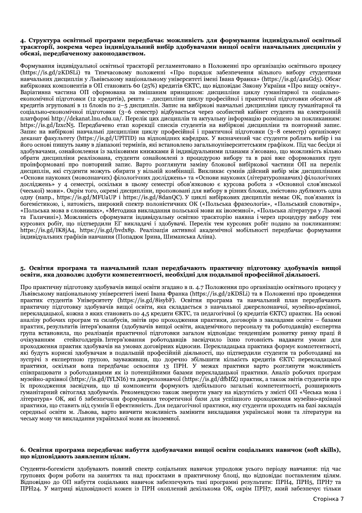#### 4. Структура освітньої програми передбачає можливість для формування індивідуальної освітньої траєкторії, зокрема через індивідуальний вибір здобувачами вищої освіти навчальних дисциплін у обсязі, передбаченому законодавством.

Формування індивідуальної освітньої траєкторії регламентовано в Положенні про організацію освітнього процесу (https://is.gd/2KDSLi) та Тимчасовому положенні «Про порядок забезпечення вільного вибору студентами навчальних диспиплін у Львівському напіональному університеті імені Івана Франка» (https://is.gd/4auGd5). Обсяг вибіркових компонентів в ОП становить 60 (25%) кредитів ЄКТС, що відповідає Закону України «Про вищу освіту». Варіативна частина ОП сформована за змішаним принципом: дисципліни циклу гуманітарної та соціальноекономічної підготовки (12 кредитів), решта – дисципліни циклу професійної і практичної підготовки обсягом 48 кредитів згруповані в 11 блоків по 2-5 дисциплін. Запис на вибіркові навчальні дисципліни циклу гуманітарної та соціально-економічної підготовки (3-6 семестр) відбувається через особистий кабінет студента на електронній платформі http://dekanat.lnu.edu.ua/. Перелік цих дисциплін та актуальну інформацію розміщено за покликанням: https://is.gd/IzxcN5. Перелбачено етап корекції списків студентів на вибіркові лисципліни та повторний запис. Запис на вибіркові навчальні дисципліни циклу професійної і практичної підготовки (3–8 семестр) організовує деканат факультету (https://is.gd/UPITID) на відповідних кафедрах. У визначений час студенти роблять вибір і на його основі пишуть заяву в діапазоні термінів, які встановлено загальноуніверситетським графіком. Під час бесіди зі здобувачами, ознайомлення із заліковими книжками й індивідуальними планами з'ясовано, що можливість вільно обрати дисципліни реалізована, студенти ознайомлені з процедурою вибору та в разі вже сформованих груп проінформовані про повторний запис. Варто розглянути заміну блокової вибіркової частини ОП на перелік лисциплін, які стуленти можуть обирати у вільній комбінації. Викликає сумнів лійсний вибір між лисциплінами «Основи наукових (мовознавчих) філологічних досліджень» та «Основи наукових (літературознавчих) філологічних лосліджень» у 4 семестрі, оскільки в цьому семестрі обов'язковою є курсова робота з «Основної слов'янської (чеської) мови». Окрім того, окремі дисципліни, пропоновані для вибору в різних блоках, змістовно дублюють одна одну (напр., https://is.gd/MFUaUP i https://is.gd/8danOC). У циклі вибіркових дисциплін немає ОК, пов'язаних із богемістикою, і, натомість, широкий спектр полоністичних ОК («Польська фразеологія», «Польський словотвір», «Польська мова в словниках», «Методика викладання польської мови як іноземної», «Польська література у Львові та Галичині»). Можливість сформувати індивідуальну освітню траєкторію наявна і через процедуру вибору тем курсових робіт, що підтвердили ЕГ викладачі і здобувачі. Перелік тем курсових робіт подано за покликанням: https://is.gd/IK8jA4, https://is.gd/bvdx8p. Реалізація активної академічної мобільності передбачає формування індивідуальних графіків навчання (Попадюк Ірина, Шиманська Аліна).

#### 5. Освітня програма та навчальний план передбачають практичну підготовку здобувачів вищої освіти, яка дозволяє здобути компетентності, необхідні для подальшої професійної діяльності.

Про практичну підготовку здобувачів вищої освіти згадано в п. 4.7 Положення про організацію освітнього процесу у Львівському національному університеті імені Івана Франка (https://is.gd/2KDSLi) та в Положенні про проведення практик студентів Університету (https://is.gd/8isybF). Освітня програма та навчальний план передбачають практичну підготовку здобувачів вищої освіти, яка складається з навчальної джерелознавчої, музейно-архівної, перекладацької, кожна з яких становить по 4,5 кредити ЄКТС, та педагогічної (9 кредитів ЄКТС) практик. На основі аналізу робочих програм та силабусів, звітів про проходження практики, договорів з закладами освіти – базами практик, результатів інтерв'ювання (здобувачів вищої освіти, академічного персоналу та роботодавців) експертна група встановила, що реалізація практичної підготовки загалом відповідає тенденціям розвитку ринку праці й стейкголдерів. Інтерв'ювання роботодавців засвідчило їхню готовність надавати умови для очікуванням проходження практик здобувачів на умовах договірних відносин. Перекладацька практика формує компетентності, які будуть корисні здобувачам в подальшій професійній діяльності, що підтвердили студенти та роботодавці на зустрічі з експертною групою, зауваживши, що доречно збільшити кількість кредитів ЄКТС перекладацької практики, оскільки вона передбачає освоєння 13 ПРН. У межах практики варто розглянути можливість співпрацювати з роботодавцями як із потенційними базами перекладацької практики. Аналіз робочих програм музейно-архівної (https://is.gd/IYLNI6) та джерелознавчої (https://is.gd/dfbIfZ) практик, а також звітів студентів про їх проходження засвідчив, що ці компоненти формують здебільшого загальні компетентності, розширюють гуманітарний світогляд здобувачів. Рекомендуємо також звернути увагу на відсутність у змісті ОП «Чеська мова і література» ОК, які б забезпечили формування теоретичної бази для успішного проходження музейно-архівної практики, що ставить піл сумнів її ефективність. Для пелагогічної практики, яку стуленти проходять на базі заклалів середньої освіти м. Львова, варто вивчити можливість замінити викладання української мови та літератури на чеську мову чи викладання української мови як іноземної.

## 6. Освітня програма передбачає набуття здобувачами вищої освіти соціальних навичок (soft skills), що відповідають заявленим цілям.

Студенти-богемісти здобувають повний спектр соціальних навичок упродовж усього періоду навчання: під час групових форм роботи на заняттях та над проєктами в практичному блоці, що відповідає поставленим цілям. Відповідно до ОП набуття соціальних навичок забезпечують такі програмні результати: ПРН4, ПРН5, ПРН7 та ПРН24. У матриці відповідності кожен із ПРН охоплений декількома ОК, окрім ПРН7, який забезпечує тільки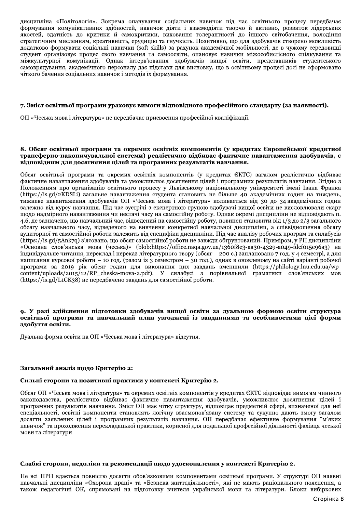дисципліна «Політологія». Зокрема опанування соціальних навичок під час освітнього процесу передбачає формування комунікативних здібностей, навичок діяти і взаємодіяти творчо й активно, розвиток лідерських якостей, здатність до критики й самокритики, виховання толерантності до іншого світобачення, володіння стратегічним мисленням, креативність, ерудицію та гнучкість. Позитивно, що для здобувачів створено можливість додатково формувати соціальні навички (soft skills) за рахунок академічної мобільності, де в чужому середовищі студент організовує процес свого навчання та самоосвіти, опановує навички міжособистісного спілкування та міжкультурної комунікації. Однак інтерв'ювання здобувачів вищої освіти, представників студентського самоврядування, академічного персоналу дає підстави для висновку, що в освітньому процесі досі не сформовано чіткого бачення соціальних навичок і методів їх формування.

## 7. Зміст освітньої програми ураховує вимоги відповідного професійного стандарту (за наявності).

ОП «Чеська мова і література» не передбачає присвоєння професійної кваліфікації.

## 8. Обсяг освітньої програми та окремих освітніх компонентів (у кредитах Європейської кредитної трансферно-накопичувальної системи) реалістично відбиває фактичне навантаження здобувачів, є відповідним для досягнення цілей та програмних результатів навчання.

Обсяг освітньої програми та окремих освітніх компонентів (у кредитах ЄКТС) загалом реалістично відбиває фактичне навантаження здобувачів та уможливлює досягнення цілей і програмних результатів навчання. Згідно з Положенням про організацію освітнього процесу у Львівському національному університеті імені Івана Франка (https://is.gd/2KDSLi) загальне навантаження студента становить не більше 40 академічних годин на тиждень, тижневе навантаження здобувачів ОП «Чеська мова і література» коливається від 30 до 34 академічних годин залежно від курсу навчання. Під час зустрічі з експертною групою здобувачі вищої освіти не висловлювали скарг щодо надмірного навантаження чи нестачі часу на самостійну роботу. Однак окремі дисципліни не відповідають п. 4.6, де зазначено, що навчальний час, відведений на самостійну роботу, повинен становити від 1/3 до 2/3 загального обсягу навчального часу, відведеного на вивчення конкретної навчальної дисципліни, а співвідношення обсягу аудиторної та самостійної роботи залежить від специфіки дисципліни. Під час аналізу робочих програм та силабусів (https://is.gd/5Ank7q) з'ясовано, що обсяг самостійної роботи не завжди обґрунтований. Приміром, у РП дисципліни «Основна слов'янська мова (чеська)» (blob:https://office.naqa.gov.ua/136of8e3-аа30-4329-а049-fdcf015e96a3) на індивідуальне читання, переклад і переказ літературного твору (обсяг - 200 с.) заплановано 7 год. у 4 семестрі, а для написання курсової роботи - 10 год. (разом із 3 семестром - 30 год.), однак в оновленому на сайті варіанті робочої програми за 2019 рік обсяг годин для виконання цих завдань зменшили (https://philology.lnu.edu.ua/wpcontent/uploads/2015/12/RP\_cheska-mova-2.pdf). У силабусі з порівняльної граматики слов'янських **MOR** (https://is.gd/L1CK38) не передбачено завдань для самостійної роботи.

## 9. У разі злійснення підготовки здобувачів вищої освіти за дуальною формою освіти структура освітньої програми та навчальний план узгоджені із завданнями та особливостями цієї форми здобуття освіти.

Дуальна форма освіти на ОП «Чеська мова і література» відсутня.

#### Загальний аналіз щодо Критерію 2:

# Сильні сторони та позитивні практики у контексті Критерію 2.

Обсяг ОП «Чеська мова і література» та окремих освітніх компонентів у кредитах ЄКТС відповідає вимогам чинного законодавства, реалістично відбиває фактичне навантаження здобувачів, уможливлює досягнення цілей і програмних результатів навчання. Зміст ОП має чітку структуру, відповідає предметній сфері, визначеної для неї спеціальності, освітні компоненти становлять логічну взаємопов'язану систему та сукупно дають змогу загалом досягти заявлених цілей і програмних результатів навчання. ОП передбачає ефективне формування "м'яких навичок" та проходження перекладацької практики, корисної для подальшої професійної діяльності фахівця чеської мови та літератури

# Слабкі сторони, недоліки та рекомендації шодо удосконалення у контексті Критерію 2.

Не всі ПРН вдається повністю досягти обов'язковими компонентами освітньої програми. У структурі ОП наявні навчальні дисципліни «Охорона праці» та «Безпека життєдіяльності», які не мають раціонального пояснення, а також педагогічні ОК, спрямовані на підготовку вчителя української мови та літератури. Блоки вибіркових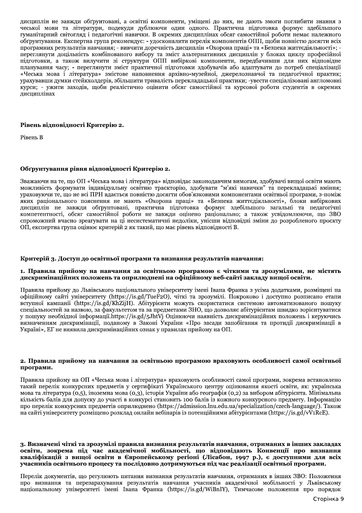дисциплін не завжди обґрунтовані, а освітні компоненти, уміщені до них, не дають змоги поглибити знання з чеської мови та літератури, подекуди дублюючи один одного. Практична підготовка формує здебільшого гуманітарний світогляд і педагогічні навички. В окремих дисциплінах обсяг самостійної роботи немає належного обґрунтування. Експертна група рекомендує: - удосконалити перелік компонентів ОПП, щоби повністю досягти всіх програмних результатів навчання; - вивчити доречність дисциплін «Охорона праці» та «Безпека життєдіяльності»; переглянути доцільність комбінованого вибору та зміст альтернативних дисциплін у блоках циклу професійної підготовки, а також вилучити зі структури ОПП вибіркові компоненти, передбачивши для них відповідне планування часу; - переглянути зміст практичної підготовки здобувачів або адаптувати до потреб спеціалізації «Чеська мова і література» змістове наповнення архівно-музейної, джерелознавчої та педагогічної практик; урахувавши думки стейкхолдерів, збільшити тривалість перекладацької практики: -увести спеціалізовані англомовні курси; - ужити заходів, щоби реалістично оцінити обсяг самостійної та курсової роботи студентів в окремих дисциплінах

## Рівень відповідності Критерію 2.

Рівень В

## Обґрунтування рівня відповідності Критерію 2.

Зважаючи на те, що ОП «Чеська мова і література» відповідає законодавчим вимогам, здобувачі вищої освіти мають можливість формувати індивідуальну освітню траєкторію, здобувати "м'які навички" та перекладацькі вміння; ураховуючи те, що не всі ПРН вдається повністю досягти обов'язковими компонентами освітньої програми, з-поміж яких раціонального пояснення не мають «Охорона праці» та «Безпека життєдіяльності», блоки вибіркових дисциплін не завжди обґрунтовані, практична підготовка формує здебільшого загальні та педагогічні компетентності, обсяг самостійної роботи не завжди оцінено раціонально; а також усвідомлюючи, що ЗВО спроможний вчасно зреагувати на ці несистематичні недоліки, унісши відповідні зміни до розробленого проєкту ОП, експертна група оцінює критерій 2 як такий, що має рівень відповідності В.

## Критерій 3. Доступ до освітньої програми та визнання результатів навчання:

#### 1. Правила прийому на навчання за освітньою програмою є чіткими та зрозумілими, не містять дискримінаційних положень та оприлюднені на офіційному веб-сайті закладу вищої освіти.

Правила прийому до Львівського національного університету імені Івана Франка з усіма додатками, розміщені на офіційному сайті університету (https://is.gd/TueF2O), чіткі та зрозумілі. Покроково і доступно розписано етапи вступної кампанії (https://is.gd/KhZijH). Абітурієнти можуть скористатися системою автоматизованого пошуку спеціальностей за назвою, за факультетом та за предметами ЗНО, що дозволяє абітурієнтам швидко зорієнтуватися у пошуку необхідної інформації.https://is.gd/5JhtVj Оцінюючи наявність дискримінаційних положень і керуючись визначенням дискримінації, поданому в Законі України «Про засади запобігання та протидії дискримінації в Україні», ЕГ не виявила дискримінаційних ознак у правилах прийому на ОП.

#### 2. Правила прийому на навчання за освітньою програмою враховують особливості самої освітньої програми.

Правила прийому на ОП «Чеська мова і література» враховують особливості самої програми, зокрема встановлено такий перелік конкурсних предметів у сертифікаті Українського центру оцінювання якості освіти, як: українська мова та література (0,5), іноземна мова (0,3), історія України або географія (0,2) за вибором абітурієнта. Мінімальна кількість балів для допуску до участі в конкурсі становить 100 балів із кожного конкурсного предмету. Інформацію про перелік конкурсних предметів оприлюднено (https://admission.lnu.edu.ua/specialization/czech-language/). Також на сайті університету розміщено розклад онлайн вебінарів із потенційними абітурієнтами (https://is.gd/vV1RcE).

3. Визначені чіткі та зрозумілі правила визнання результатів навчання, отриманих в інших закладах освіти, зокрема під час академічної мобільності, що відповідають Конвенції про визнання кваліфікацій з вищої освіти в Європейському регіоні (Лісабон, 1997 р.), є доступними для всіх учасників освітнього процесу та послідовно дотримуються під час реалізації освітньої програми.

Перелік документів, що регулюють питання визнання результатів навчання, отриманих в інших ЗВО: Положення про визнання та перезарахування результатів навчання учасників академічної мобільності у Львівському національному університеті імені Івана Франка (https://is.gd/WiBnIY), Тимчасове положення про порядок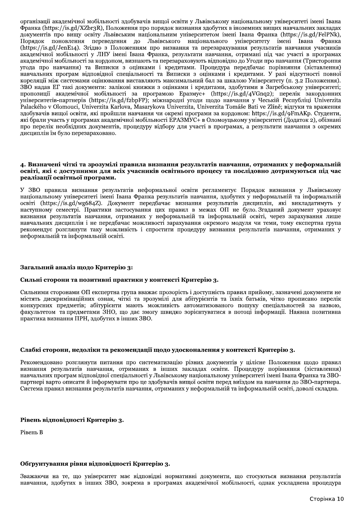організації академічної мобільності здобувачів вищої освіти у Львівському національному університеті імені Івана Франка (https://is.gd/XZbr3R), Положення про порядок визнання здобутих в іноземних вищих навчальних закладах документів про вищу освіту Львівським національним університетом імені Івана Франка (https://is.gd/FelPNk), поновлення переведення до Львівського національного університету імені Івана Франка Порядок (https://is.gd/JenE14). Згідно з Положенням про визнання та перезарахування результатів навчання учасників академічної мобільності у ЛНУ імені Івана Франка, результати навчання, отримані під час участі в програмах академічної мобільності за кордоном, визнають та перезараховують відповідно до Угоди про навчання (Тристороння угода про навчання) та Виписки з оцінками і кредитами. Процедура передбачає порівняння (зіставлення) навчальних програм відповідної спеціальності та Виписки з оцінками і кредитами. У разі відсутності повної кореляції між системами оцінювання виставляють максимальний бал за шкалою Університету (п. з.2 Положення). ЗВО надав ЕГ такі документи: залікові книжки з оцінками і кредитами, здобутими в Загребському університеті; пропозиції академічної мобільності за програмою Epasmyc+ (https://is.gd/4VGnq2); перелік закордонних університетів-партнерів (https://is.gd/f2bpFP); міжнародні угоди щодо навчання у Чеській Республіці Univerzita Palackého v Olomouci, Univerzita Karlova, Masarykova Univerzita, Univerzita Tomáše Bati ve Zlíně; відгуки та враження здобувачів вищої освіти, які пройшли навчання чи окремі програми за кордоном: https://is.gd/9FmAKp. Студенти, які брали участь у програмах академічної мобільності ЕРАЗМУС+ в Оломоуцькому університеті (Додаток 2), обізнані про перелік необхідних документів, процедуру відбору для участі в програмах, а результати навчання з окремих дисциплін їм було перезараховано.

## 4. Визначені чіткі та зрозумілі правила визнання результатів навчання, отриманих у неформальній освіті, які є доступними для всіх учасників освітнього процесу та послідовно дотримуються під час реалізації освітньої програми.

У ЗВО правила визнання результатів неформальної освіти регламентує Порядок визнання у Львівському національному університеті імені Івана Франка результатів навчання, здобутих у неформальній та інформальній освіті (https://is.gd/wg684Z). Документ передбачає визнання результатів дисциплін, які викладатимуть у наступному семестрі. Практики застосування цих правил в межах ОП не було Згаданий документ ураховує визнання результатів навчання, отриманих у неформальній та інформальній освіті, через зарахування лише навчальних дисциплін і не передбачає можливості зарахування окремого модуля чи теми, тому експертна група рекомендує розглянути таку можливість і спростити процедуру визнання результатів навчання, отриманих у неформальній та інформальній освіті.

## Загальний аналіз щодо Критерію 3:

## Сильні сторони та позитивні практики у контексті Критерію 3.

Сильними сторонами ОП експертна група вважає прозорість і доступність правил прийому, зазначені документи не містять дискримінаційних ознак, чіткі та зрозумілі для абітурієнтів та їхніх батьків, чітко прописано перелік конкурсних предметів; абітурієнти мають можливість автоматизованого пошуку спеціальностей за назвою, факультетом та предметами ЗНО, що дає змогу швидко зорієнтуватися в потоці інформації. Наявна позитивна практика визнання ПРН, здобутих в інших ЗВО.

## Слабкі сторони, недоліки та рекомендації щодо удосконалення у контексті Критерію 3.

Рекомендовано розглянути питання про систематизацію різних документів у цілісне Положення щодо правил визнання результатів навчання, отриманих в інших закладах освіти. Процедуру порівняння (зіставлення) навчальних програм відповідної спеціальності у Львівському національному університеті імені Івана Франка та ЗВОпартнері варто описати й інформувати про це здобувачів вищої освіти перед виїздом на навчання до ЗВО-партнера. Система правил визнання результатів навчання, отриманих у неформальній та інформальній освіті, доволі складна.

## Рівень відповідності Критерію 3.

Рівень В

# Обґрунтування рівня відповідності Критерію 3.

Зважаючи на те, що університет має відповідні нормативні документи, що стосуються визнання результатів навчання, здобутих в інших ЗВО, зокрема в програмах академічної мобільності, однак ускладнена процедура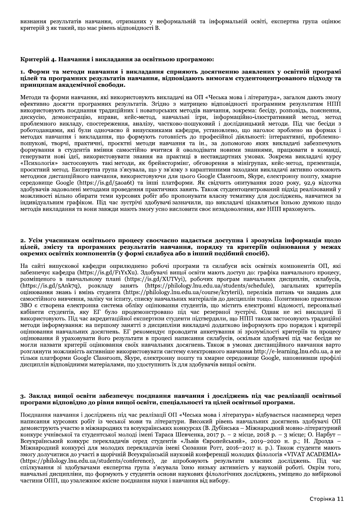визнання результатів навчання, отриманих у неформальній та інформальній освіті, експертна група оцінює критерій 3 як такий, що має рівень відповідності В.

## Критерій 4. Навчання і викладання за освітньою програмою:

#### 1. Форми та методи навчання і викладання сприяють досягненню заявлених у освітній програмі цілей та програмних результатів навчання, відповідають вимогам студентоцентрованого підходу та принципам академічної свободи.

Методи та форми навчання, які використовують викладачі на ОП «Чеська мова і література», загалом дають змогу ефективно досягти програмних результатів. Згідно з матрицею відповідності програмним результатам НПП використовують поєднання традиційних і новаторських методів навчання, зокрема: бесіду, розповідь, пояснення, дискусію, демонстрацію, вправи, кейс-метод, навчальні ігри, інформаційно-ілюстративний метод, метод проблемного викладу, спостереження, аналізу, частково-пошуковий і дослідницький методи. Під час бесіди з роботодавцями, які були одночасно й випускниками кафедри, установлено, що наголос зроблено на формах і методах навчання і викладання, що формують готовність до професійної діяльності: інтерактивні, проблемнопошукові, творчі, практичні, проєктні методи навчання та ін., за допомогою яких викладачі забезпечують формування в студентів вміння самостійно вчитися й оволодівати новими знаннями, працювати в команді, генерувати нові ідеї, використовувати знання на практиці в нестандартних умовах. Зокрема викладачі курсу «Психологія» застосовують такі методи, як брейнстормінг, обговорення в мінігрупах, кейс-метод, презентація, проєктний метод. Експертна група з'ясувала, що у зв'язку з карантинними заходами викладачі активно освоюють методики дистанційного навчання, використовуючи для цього Google Classroom, Skype, електронну пошту, хмарне cepeдовище Google (https://is.gd/5aoa6t) та інші платформи. Як свідчить опитування 2020 року, 92,9 відсотка здобувачів задоволені методами проведення практичних занять. Також студентоцентрований підхід реалізований у можливості вільно обирати теми курсових робіт або пропонувати власну тематику для досліджень, навчатися за індивідуальним графіком. Під час зустрічі здобувачі зазначили, що викладачі цікавляться їхньою думкою щодо методів викладання та вони завжди мають змогу усно висловити своє незадоволення, яке НПП враховують.

#### 2. Усім учасникам освітнього процесу своєчасно надається доступна і зрозуміла інформація щодо цілей, змісту та програмних результатів навчання, порядку та критеріїв оцінювання у межах окремих освітніх компонентів (у формі силабуса або в інший подібний спосіб).

На сайті випускової кафедри оприлюднено робочі програми та силабуси всіх освітніх компонентів ОП, які забезпечує кафедра (https://is.gd/F1YxXu). Здобувачі вищої освіти мають доступ до: графіка навчального процесу, розміщеного в навчальному плані (https://is.gd/XUTVyi), робочих програм навчальних дисциплін, силабусів, (https://is.gd/5Ank7q), розкладу занять (https://philology.lnu.edu.ua/students/schedule), загальних критеріїв оцінювання знань і вмінь студента (https://philology.lnu.edu.ua/course/kryterii), переліків питань чи завдань для самостійного вивчення, заліку чи іспиту, списку навчальних матеріалів до дисциплін тощо. Позитивною практикою ЗВО є створена електронна система обліку оцінювання студентів, що містить електронні відомості, персональні кабінети студентів, яку ЕГ було продемонстровано під час резервної зустрічі. Однак не всі викладачі її використовують. Під час акредитаційної експертизи студенти підтвердили, що НПП також застосовують традиційні методи інформування: на першому занятті з дисципліни викладачі додатково інформують про порядок і критерії оцінювання навчальних досягнень. ЕГ рекомендує проводити анкетування зі зрозумілості критеріїв та процесу оцінювання й ураховувати його результати в процесі написання силабусів, оскільки здобувачі під час бесіди не могли назвати критерії оцінювання своїх навчальних досягнень. Також в умовах дистанційного навчання варто розглянути можливість активніше використовувати систему електронного навчання http://e-learning.lnu.edu.ua, а не тільки платформи Google Classroom, Skype, електронну пошту та хмарне середовище Google, наповнивши профілі дисциплін відповідними матеріалами, що удоступнить їх для здобувачів вищої освіти.

### 3. Заклад вищої освіти забезпечує поєднання навчання і досліджень під час реалізації освітньої програми відповідно до рівня вищої освіти, спеціальності та цілей освітньої програми.

Поєднання навчання і досліджень під час реалізації ОП «Чеська мова і література» відбувається насамперед через написання курсових робіт із чеської мови та літератури. Високий рівень навчальних досягнень здобувачі ОП демонструють участю в міжнародних та всеукраїнських конкурсах (В. Дубінська - Міжнародний мовно-літературний конкурс учнівської та студентської молоді імені Тараса Шевченка, 2017 р. - 2 місце, 2018 р. - 3 місце; О. Нарбут -Всеукраїнський конкурс перекладачів серед студентів «Львів Європейський», 2019-2020 н. р.; Н. Дрозда -змогу долучитися до участі в щорічній Всеукраїнській науковій конференції молодих філологів «VIVAT ACADEMIA» (https://philology.lnu.edu.ua/students/conference), де апробовують результати власних досліджень. Під час спілкування зі здобувачами експертна група з'ясувала їхню низьку активність у науковій роботі. Окрім того, навчальні дисципліни, що формують у студентів основи наукових філологічних досліджень, уміщено до вибіркової частини ОПП, що узалежнює якісне поєднання науки і навчання від вибору.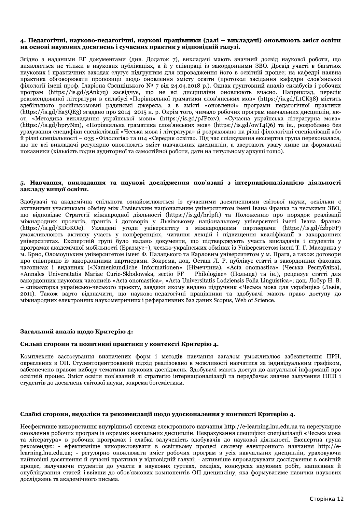## 4. Педагогічні, науково-педагогічні, наукові працівники (далі – викладачі) оновлюють зміст освіти на основі наукових досягнень і сучасних практик у відповідній галузі.

Згідно з наданими ЕГ документами (див. Додаток 7), викладачі мають значний досвід наукової роботи, що виявляється не тільки в наукових публікаціях, а й у співпраці із закордонними ЗВО. Досвід участі в багатьох наукових і практичних заходах слугує підґрунтям для впровадження його в освітній процес; на кафедрі наявна практика обговорювати пропозиції щодо оновлення змісту освіти (протокол засідання кафедри слов'янської філології імені проф. Іларіона Свєнціцького № 7 від 24.04.2018 р.). Однак ґрунтовний аналіз силабусів і робочих програм (https://is.gd/5Ank7q) засвідчує, що не всі дисципліни оновлюють вчасно. Наприклад, перелік рекомендованої літератури в силабусі «Порівняльної граматики слов'янських мов» (https://is.gd/L1CK38) містить здебільшого російськомовні радянські джерела, а в змісті «оновленої» програми педагогічної практики (https://is.gd/Ea3QE3) згадано про 2014-2015 н. р. Окрім того, чимало робочих програм навчальних дисциплін, якот, «Методика викладання української мови» (https://is.gd/pJPoxv), «Сучасна українська літературна мова» (https://is.gd/hpryNm), «Порівняльна граматика слов'янських мов» (https://is.gd/owT4O6) та ін., розроблено без урахування специфіки спеціалізації «Чеська мова і література» й розраховано на різні філологічні спеціалізації або й різні спеціальності – 035 «Філологія» та 014 «Середня освіта». Під час спілкування експертна група переконалася, що не всі викладачі регулярно оновлюють зміст навчальних дисциплін, а звертають увагу лише на формальні показники (кількість годин аудиторної та самостійної роботи, дати на титульному аркуші тощо).

#### 5. Навчання, викладання та наукові дослідження пов'язані з інтернаціоналізацією діяльності закладу вищої освіти.

Здобувачі та академічна спільнота ознайомлюються із сучасними досягненнями світової науки, оскільки є активними учасниками обміну між Львівським національним університетом імені Івана Франка та чеськими ЗВО, що відповідає Стратегії міжнародної діяльності (https://is.gd/hrlpf1) та Положенню про порядок реалізації міжнародних проектів, ґрантів і договорів у Львівському національному університеті імені Івана Франка (https://is.gd/KDoKOe). Укладені угоди університету з міжнародними партнерами (https://is.gd/f2bpFP) уможливлюють активну участь у конференціях, читання лекцій і підвищення кваліфікації в закордонних університетах. Експертній групі було надано документи, що підтверджують участь викладачів і студентів у програмах академічної мобільності (Еразмус+), чесько-українських обмінах із Університетом імені Т. Г. Масарика у м. Брно, Оломоуцьким університетом імені Ф. Палацького та Карловим університетом у м. Прага, а також договори про співпрацю із закордонними партнерами. Зокрема, доц. Осташ Л. Р. публікує статті в закордонних фахових часописах і виданнях («Namenkundliche Informationen» (Німеччина), «Acta onomastica» (Чеська Республіка), «Annales Universitatis Mariae Curie-Skłodowska, sectio FF – Philologiae» (Польща) та ін.), рецензує статті для закордонних наукових часописів «Acta onomastica», «Acta Universitatis Lodziensis Folia Linguistica»; доц. Лобур Н. В. – співавторка українсько-чеського проєкту, завдяки якому видано підручник «Чеська мова для українців» (Львів, 2011). Також варто відзначити, що науково-педагогічні працівники та здобувачі мають право доступу до міжнародних електронних наукометричних і реферативних баз даних Scopus, Web of Science.

## Загальний аналіз щодо Критерію 4:

#### Сильні сторони та позитивні практики у контексті Критерію 4.

Комплексне застосування визначених форм і методів навчання загалом уможливлює забезпечення ПРН, окреслених в ОП. Студентоцентрований підхід реалізовано в можливості навчатися за індивідуальним графіком, забезпечено правом вибору тематики наукових досліджень. Здобувачі мають доступ до актуальної інформації про освітній процес. Зміст освіти пов'язаний зі стратегію інтернаціоналізації та передбачає значне залучення НПП і студентів до досягнень світової науки, зокрема богемістики.

### Слабкі сторони, недоліки та рекомендації щодо удосконалення у контексті Критерію 4.

Неефективне використання внутрішньої системи електронного навчання http://e-learning.lnu.edu.ua та нерегулярне оновлення робочих програм із окремих навчальних дисциплін. Неврахування специфіки спеціалізації «Чеська мова та література» в робочих програмах і слабка залученість здобувачів до наукової діяльності. Експертна група рекомендує: - ефективніше використовувати в освітньому процесі систему електронного навчання http://elearning.lnu.edu.ua; - регулярно оновлювати зміст робочих програм з усіх навчальних дисциплін, ураховуючи найновіші досягнення й сучасні практики у відповідній галузі; - активніше впроваджувати дослідження в освітній процес, залучаючи студентів до участи в наукових гуртках, секціях, конкурсах наукових робіт, написання й опублікування статей і ввівши до обов'язкових компонентів ОП дисципліну, яка формуватиме навички наукових лослілжень та акалемічного письма.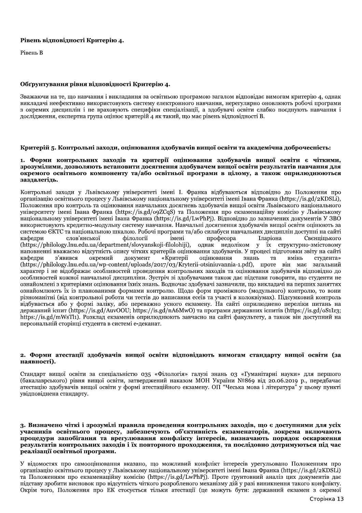## Рівень відповідності Критерію 4.

Рівень В

## Обґрунтування рівня відповідності Критерію 4.

Зважаючи на те, що навчання і викладання за освітньою програмою загалом відповідає вимогам критерію 4, однак викладачі неефективно використовують систему електронного навчання, нерегулярно оновлюють робочі програми з окремих диспиплін і не враховують специфіки спеціалізації, а здобувачі освіти слабко поєднують навчання і дослідження, експертна група оцінює критерій 4 як такий, що має рівень відповідності В.

# Критерій 5. Контрольні заходи, оцінювання здобувачів вищої освіти та академічна доброчесність:

#### 1. Форми контрольних заходів та критерії оцінювання здобувачів вищої освіти є чіткими, зрозумілими, дозволяють встановити досягнення здобувачем вищої освіти результатів навчання для окремого освітнього компоненту та/або освітньої програми в цілому, а також оприлюднюються зазлалегіль.

Контрольні заходи у Львівському університеті імені І. Франка відбуваються відповідно до Положення про організацію освітнього процесу у Львівському національному університеті імені Івана Франка (https://is.gd/2KDSLi), Положення про контроль та опінювання навчальних лосягнень злобувачів вишої освіти Львівського напіонального університету імені Івана Франка (https://is.gd/o9ZCqS) та Положення про екзаменаційну комісію у Львівському національному університеті імені Івана Франка (https://is.gd/LwPhPj). Відповідно до зазначених документів У ЗВО використовують кредитно-модульну систему навчання. Навчальні досягнення здобувачів вищої освіти оцінюють за системою ЄКТС та національною шкалою. Робочі програми та/або силабуси навчальних дисциплін доступні на сайті слов'янської **філології** імені професора Іларіона Свеншиького кафедри (https://philology.lnu.edu.ua/department/slovyanskoji-filolohiji), однак недоліком у їх структурно-змістовому наповненні вважаємо відсутність опису чітких критеріїв оцінювання здобувачів. У процесі підготовки звіту на сайті кафедри з'явився окремий документ «Критерії опінювання знань та вмінь студента» (https://philology.lnu.edu.ua/wp-content/uploads/2017/03/Kryterii-otsiniuvannia-1.pdf), проте він має загальний характер і не відображає особливостей проведення контрольних заходів та оцінювання здобувачів відповідно до особливостей кожної навчальної дисципліни. Зустріч зі здобувачами також дає підстави говорити, що студенти не ознайомлені з критеріями опінювання їхніх знань. Водночас злобувачі зазначили, що викладачі на перших заняттях ознайомлюють їх із планованими формами контролю. Шоло форм проміжного (молульного) контролю, то вони різноманітні (від контрольної роботи чи тестів до написання есеїв та участі в колоквіумах). Підсумковий контроль відбувається або у формі заліку, або переважно усного екзамену. На сайті оприлюднено переліки питань на державний іспит (https://is.gd/AuvOOU; https://is.gd/nA6MwO) та програми державних іспитів (https://is.gd/oS1Iz3; https://is.gd/mWsTl1). Розклад екзаменів оприлюднюють завчасно на сайті факультету, а також він доступний на персональній сторінці студента в системі е-деканат.

#### 2. Форми атестації здобувачів вищої освіти відповідають вимогам стандарту вищої освіти (за наявності).

Стандарт вищої освіти за спеціальністю 035 «Філологія» галузі знань 03 «Гуманітарні науки» для першого (бакалаврського) рівня вищої освіти, затверджений наказом МОН України №869 від 20.06.2019 р., передбачає атестацію здобувачів вищої освіти у формі атестаційного екзамену. ОП "Чеська мова і література" у цьому пункті увідповіднена стандарту.

### 3. Визначено чіткі і зрозумілі правила проведення контрольних заходів, що є доступними для усіх учасників освітнього процесу, забезпечують об'єктивність екзаменаторів, зокрема включають процедури запобігання та врегулювання конфлікту інтересів, визначають порядок оскарження результатів контрольних заходів і їх повторного проходження, та послідовно дотримуються під час реалізації освітньої програми.

У відомостях про самооцінювання вказано, що можливий конфлікт інтересів урегульовано Положенням про організацію освітнього процесу у Львівському національному університеті імені Івана Франка (https://is.gd/2KDSLi) та Положенням про екзаменаційну комісію (https://is.gd/LwPhPj). Проте ґрунтовний аналіз цих документів дає підставу зробити висновок про відсутність чіткого розробленого механізму дій у разі виникнення такого конфлікту. Окрім того, Положення про ЕК стосується тільки атестації (це можуть бути: державний екзамен з окремої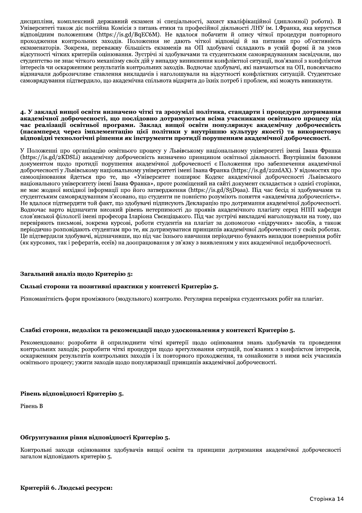дисципліни, комплексний державний екзамен зі спеціальності, захист кваліфікаційної (дипломної) роботи). В Університеті також діє постійна Комісія з питань етики та професійної діяльності ЛНУ ім. І.Франка, яка керується відповідним положенням (https://is.gd/BqEC6M). Не вдалося побачити й опису чіткої процедури повторного проходження контрольних заходів. Положення не дають чіткої відповіді й на питання про об'єктивність екзаменаторів. Зокрема, переважну більшість екзаменів на ОП здобувачі складають в усній формі й за умов відсутності чітких критеріїв оцінювання. Зустрічі зі здобувачами та студентським самоврядуванням засвідчили, що студентство не знає чіткого механізму своїх дій у випадку виникнення конфліктної ситуації, пов'язаної з конфліктом інтересів чи оскарженням результатів контрольних заходів. Водночас здобувачі, які навчаються на ОП, повсякчасно відзначали доброзичливе ставлення викладачів і наголошували на відсутності конфліктних ситуацій. Студентське самоврядування підтвердило, що академічна спільнота відкрита до їхніх потреб і проблем, які можуть виникнути.

#### 4. У закладі вищої освіти визначено чіткі та зрозумілі політика, стандарти і процедури дотримання академічної доброчесності, що послідовно дотримуються всіма учасниками освітнього процесу під час реалізації освітньої програми. Заклад вищої освіти популяризує академічну доброчесність (насамперед через імплементацію цієї політики у внутрішню культуру якості) та використовує відповідні технологічні рішення як інструменти протидії порушенням академічної доброчесності.

У Положенні про організацію освітнього процесу у Львівському національному університеті імені Івана Франка (https://is.gd/2KDSLi) академічну доброчесність визначено принципом освітньої діяльності. Внутрішнім базовим документом щодо протидії порушення академічної доброчесності є Положення про забезпечення академічної доброчесності у Львівському національному університеті імені Івана Франка (https://is.gd/22zdAX). У відомостях про самооцінювання йдеться про те, що «Університет поширює Кодекс академічної доброчесності Львівського національного університету імені Івана Франка», проте розміщений на сайті документ складається з однієї сторінки, не має жодної вихідної інформації про його затвердження (https://is.gd/S5D9aa). Під час бесід зі здобувачами та студентським самоврядуванням з'ясовано, що студенти не повністю розуміють поняття «академічна доброчесність». Не вдалося підтвердити той факт, що здобувачі підписують Декларацію про дотримання академічної доброчесності. Водночас варто відзначити високий рівень нетерпимості до проявів академічного плагіату серед НПП кафедри слов'янської філології імені професора Іларіона Свєнціцького. Під час зустрічі викладачі наголошували на тому, що перевіряють письмові, зокрема курсові, роботи студентів на плагіат за допомогою «підручних» засобів, а також періодично розповідають студентам про те, як дотримуватися принципів академічної доброчесності у своїх роботах. Це підтвердили здобувачі, відзначивши, що під час їхнього навчання періодично бувають випадки повернення робіт (як курсових, так і рефератів, есеїв) на доопрацювання у зв'язку з виявленням у них академічної недоброчесності.

# Загальний аналіз щодо Критерію 5:

## Сильні сторони та позитивні практики у контексті Критерію 5.

Різноманітність форм проміжного (модульного) контролю. Регулярна перевірка студентських робіт на плагіат.

## Слабкі сторони, недоліки та рекомендації щодо удосконалення у контексті Критерію 5.

Рекомендовано: розробити й оприлюднити чіткі критерії щодо оцінювання знань здобувачів та проведення контрольних заходів; розробити чіткі процедури щодо врегулювання ситуацій, пов'язаних з конфліктом інтересів, оскарженням результатів контрольних заходів і їх повторного проходження, та ознайомити з ними всіх учасників освітнього процесу; ужити заходів щодо популяризації принципів академічної доброчесності.

## Рівень відповідності Критерію 5.

Рівень В

## Обґрунтування рівня відповідності Критерію 5.

Контрольні заходи оцінювання здобувачів вищої освіти та принципи дотримання академічної доброчесності загалом відповідають критерію 5.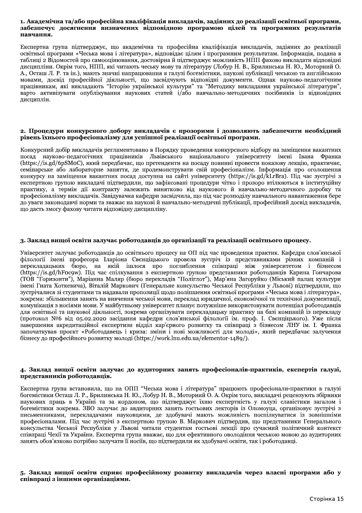#### 1. Академічна та/або професійна кваліфікація викладачів, задіяних до реалізації освітньої програми, забезпечує досягнення визначених відповідною програмою цілей та програмних результатів навчання.

Експертна група підтверджує, що академічна та професійна кваліфікація викладачів, задіяних до реалізації освітньої програми «Чеська мова і література», відповідає цілям і програмним результатам. Інформація, подана в таблиці 2 Відомостей про самооцінювання, достовірна й підтверджує можливість НПП фахово викладати відповідні дисципліни. Окрім того, НПП, які читають чеську мову та літературу (Лобур Н. В., Брилинська Н. Ю., Моторний О. А., Осташ Л. Р. та ін.), мають значні напрацювання в галузі богемістики, наукові публікації чеською та англійською мовами, досвід професійної діяльності, що засвідчують відповідні документи. Однак науково-педагогічним працівникам, які викладають "Історію української культури" та "Методику викладання української літератури", варто активізувати опублікування наукових статей і/або навчально-методичних посібників із відповідних дисциплін.

#### 2. Процедури конкурсного добору викладачів є прозорими і дозволяють забезпечити необхідний рівень їхнього професіоналізму для успішної реалізації освітньої програми.

Конкурсний добір викладачів регламентовано в Порядку проведення конкурсного відбору на заміщення вакантних посад науково-педагогічних працівників Львівського національного університету імені Івана Франка (https://is.gd/6pSMoC), який передбачає, що претенденти на посаду повинні провести показову лекцію, практичне, семінарське або лабораторне заняття, де продемонструвати свій професіоналізм. Інформація про оголошення конкурсу на заміщення вакантних посад доступна на сайті університету (https://is.gd/kLrBra). Під час зустрічі з експертною групою викладачі підтвердили, що зафіксовані процедури чітко і прозоро втілюються в інституційну практику, а термін дії контракту залежить винятково від наукового й навчально-методичного доробку та професіоналізму викладачів. Завідувачка кафедри засвідчила, що під час розподілу навчального навантаження бере до уваги законодавчі норми та зважає на наукові й навчально-методичні публікації, професійний досвід викладачів, що дасть змогу фахову читати відповідну дисципліну.

## 3. Заклад вищої освіти залучає роботодавців до організації та реалізації освітнього процесу.

Університет залучає роботодавців до освітнього процесу на ОП під час проведення практик. Кафедра слов'янської філології імені професора Іларіона Свєнціцького провела зустріч із представниками різних компаній і перекладацьких бюро, на якій ішлося про поглиблення співпраці між університетом і бізнесом (https://is.gd/hFoc9w). Під час спілкування з експертною групою представники роботодавців Карина Гончарова (ТОВ "Горизонти"), Маріанна Маляр (бюро перекладів "Поліглот"), Мар'яна Загоруйко (Міський палац культури імені Гната Хоткевича), Віталій Маркович (Генеральне консульство Чеської Республіки у Львові) підтвердили, що зустрічалися зі студентами та надавали пропозиції щодо поліпшення освітньої програми «Чеська мова і література», зокрема: збільшення занять на вивчення чеської мови, переклад юридичної, економічної та технічної документації, комунікація з носіями мови. У майбутньому університет планує потужніше використовувати потенціал роботодавців для освітньої та наукової діяльності, зокрема організувати перекладацьку практику на базі компаній із перекладу (протокол №6 від 05.02.2020 засідання кафедри слов'янської філології ім. проф. І. Свєнціцького). Уже після завершення акредитаційної експертизи відділ кар'єрного розвитку та співпраці з бізнесом ЛНУ ім. І. Франка започаткував проєкт «Роботодавець і криза: зміни і нові можливості для молоді», який передбачає залучення бізнесу до професійного розвитку молоді (https://work.lnu.edu.ua/elementor-1489/).

### 4. Заклад вищої освіти залучає до аудиторних занять професіоналів-практиків, експертів галузі, представників роботодавців.

Експертна група встановила, що на ОПП "Чеська мова і література" працюють професіонали-практики в галузі богемістики Осташ Л. Р., Брилинська Н. Ю., Лобур Н. В., Моторний О. А. Окрім того, викладачі рецензують збірники наукових праць в Україні та за кордоном, що підтверджує їхню експертність у галузі славістики загалом і богемістики зокрема. ЗВО залучає до авдиторних занять гостьових лекторів із Оломоуца, організовує зустрічі з письменниками, перекладачами науковцями, де здобувачі мають можливість поспілкуватися із зовнішніми професіоналами. Під час зустрічі з експертною групою В. Маркович підтвердив, що представники Генерального консульства Чеської Республіки у Львові читали студентам гостьові лекції про сучасний політичний контекст співпраці Чехії та України. Експертна група вважає, що для ефективного оволодіння чеською мовою до аудиторних занять обов'язково потрібно залучати її носіїв, що підтвердили як здобувачі освіти, так і роботодавці.

### 5. Заклад вищої освіти сприяє професійному розвитку викладачів через власні програми або у співпраці з іншими організаціями.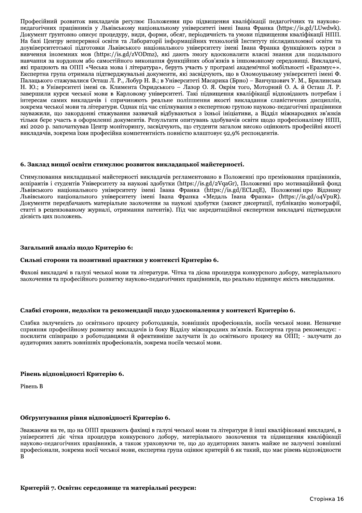Професійний розвиток викладачів регулює Положення про підвищення кваліфікації педагогічних та науковопедагогічних працівників у Львівському національному університеті імені Івана Франка (https://is.gd/LUwdwk). Документ ґрунтовно описує процедуру, види, форми, обсяг, періодичність та умови підвищення кваліфікації НПП. На базі Центру неперервної освіти та Лабораторії інформаційних технологій Інституту післядипломної освіти та доуніверситетської підготовки Львівського національного університету імені Івана Франка функціюють курси з вивчення іноземних мов (https://is.gd/zVODmz), які дають змогу вдосконалити власні знання для подальшого навчання за кордоном або самостійного виконання функційних обов'язків в іншомовному середовищі. Викладачі, які працюють на ОПП «Чеська мова і література», беруть участь у програмі академічної мобільності «Еразмус+». Експертна група отримала підтверджувальні документи, які засвідчують, що в Оломоуцькому університеті імені Ф. Палацького стажувалися Осташ Л. Р., Лобур Н. В.; в Університеті Масарика (Брно) – Ванчушович У. М., Брилинська Н. Ю.; в Університеті імені св. Климента Охридського – Лазор О. Я. Окрім того, Моторний О. А. й Осташ Л. Р. завершили курси чеської мови в Карловому університеті. Такі підвищення кваліфікації відповідають потребам і інтересам самих викладачів і спричиняють реальне поліпшення якості викладання славістичних дисциплін, зокрема чеської мови та літератури. Однак під час спілкування з експертною групою науково-педагогічні працівники зауважили, що закордонні стажування зазвичай відбуваються з їхньої ініціативи, а Відділ міжнародних зв'язків тільки бере участь в оформленні документів. Результати опитувань здобувачів освіти щодо професіоналізму НПП, які 2020 р. започаткував Центр моніторингу, засвідчують, що студенти загалом високо оцінюють професійні якості викладачів, зокрема їхня професійна компетентність повністю влаштовує 92,9% респондентів.

## 6. Заклад вищої освіти стимулює розвиток викладацької майстерності.

Стимулювання викладацької майстерності викладачів регламентовано в Положенні про преміювання працівників, аспірантів і студентів Університету за наукові здобутки (https://is.gd/2VqaGr), Положенні про мотиваційний фонд Львівського національного університету імені Івана Франка (https://is.gd/ECLzqE), Положенні про Відзнаку Львівського національного університету імені Івана Франка «Медаль Івана Франка» (https://is.gd/o4VpuR). Документи передбачають матеріальне заохочення за наукові здобутки (захист дисертації, публікацію монографії, статті в рецензованому журналі, отримання патентів). Під час акредитаційної експертизи викладачі підтвердили дієвість цих положень.

## Загальний аналіз щодо Критерію 6:

#### Сильні сторони та позитивні практики у контексті Критерію 6.

Фахові викладачі в галузі чеської мови та літератури. Чітка та дієва процедура конкурсного добору, матеріального заохочення та професійного розвитку науково-педагогічних працівників, що реально підвищує якість викладання.

## Слабкі сторони, недоліки та рекомендації щодо удосконалення у контексті Критерію 6.

Слабка залученість до освітнього процесу роботодавців, зовнішніх професіоналів, носіїв чеської мови. Незначне сприяння професійному розвитку викладачів із боку Відділу міжнародних зв'язків. Експертна група рекомендує: посилити співпрацю з роботодавцями й ефективніше залучати їх до освітнього процесу на ОПП; - залучати до аудиторних занять зовнішніх професіоналів, зокрема носіїв чеської мови.

## Рівень відповідності Критерію 6.

Рівень В

# Обґрунтування рівня відповідності Критерію 6.

Зважаючи на те, що на ОПП працюють фахівці в галузі чеської мови та літератури й інші кваліфіковані викладачі, в університеті діє чітка процедура конкурсного добору, матеріального заохочення та підвищення кваліфікації науково-педагогічних працівників, а також ураховуючи те, що до аудиторних занять майже не залучені зовнішні професіонали, зокрема носії чеської мови, експертна група оцінює критерій 6 як такий, що має рівень відповідности  $\overline{B}$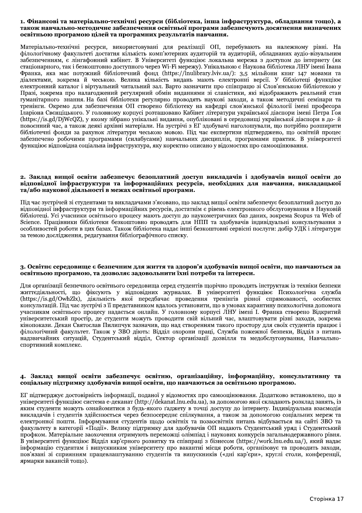## 1. Фінансові та матеріально-технічні ресурси (бібліотека, інша інфраструктура, обладнання тощо), а також навчально-методичне забезпечення освітньої програми забезпечують досягнення визначених освітньою програмою цілей та програмних результатів навчання.

Матеріально-технічні ресурси, використовувані для реалізації ОП, перебувають на належному рівні. На філологічному факультеті достатня кількість комп'ютерних аудиторій та аудиторій, обладнаних аудіо-візуальним забезпеченням, є лінгафонний кабінет. В Університеті функціює локальна мережа з доступом до інтернету (як стаціонарного, так і безкоштовно доступного через Wi-Fi мережу). Унікальною є Наукова бібліотека ЛНУ імені Івана Франка, яка має потужний бібліотечний фонд (https://lnulibrary.lviv.ua/): 3,5 мільйони книг 147 мовами та діалектами, зокрема й чеською. Велика кількість видань мають електронні версії. У бібліотеці функціює електронний каталог і віртуальний читальний зал. Варто зазначити про співпрацю зі Слов'янською бібліотекою у Празі, зокрема про налагоджений регулярний обмін виданнями зі славістики, які відображають реальний стан гуманітарного знання. На базі бібліотеки регулярно проводять наукові заходи, а також методичні семінари та тренінги. Окремо для забезпечення ОП створено бібліотеку на кафедрі слов'янської філології імені професора Іларіона Свенціцького. У головному корпусі розташовано Кабінет літератури української діаспори імені Петра Ґоя (https://is.gd/DjWcQZ), у якому зібрано унікальні видання, опубліковані в середовищі української діаспори в до-й повоєнний час, а також деякі архівні матеріали. На зустрічі з ЕГ здобувачі наголошували, що потрібно розширити бібліотечні фонди за рахунок літератури чеською мовою. Під час експертизи підтверджено, що освітній процес забезпечено робочими програмами (силабусами) навчальних дисциплін, програмами практик. В університеті функціює відповідна соціальна інфраструктура, яку коректно описано у відомостях про самооцінювання.

#### 2. Заклад вищої освіти забезпечує безоплатний доступ викладачів і здобувачів вищої освіти до відповідної інфраструктури та інформаційних ресурсів, необхідних для навчання, викладацької та/або наукової діяльності в межах освітньої програми.

Під час зустрічей зі студентами та викладачами з'ясовано, що заклад вищої освіти забезпечує безоплатний доступ до відповідної інфраструктури та інформаційних ресурсів, достатнім є рівень електронного обслуговування в Науковій бібліотеці. Усі учасники освітнього процесу мають доступ до наукометричних баз даних, зокрема Scopus та Web of Science. Працівники бібліотеки безкоштовно проводять для НПП та здобувачів індивідуальні консультування з особливостей роботи в цих базах. Також бібліотека надає інші безкоштовні сервісні послуги: добір УДК і літератури за темою дослідження, редагування бібліографічного списку.

#### 3. Освітнє середовище є безпечним для життя та здоров'я здобувачів вищої освіти, що навчаються за освітньою програмою, та дозволяє задовольнити їхні потреби та інтереси.

Для організації безпечного освітнього середовища серед студентів шорічно проводять інструктаж із техніки безпеки життєдіяльності, що фіксують у відповідних журналах. В університеті функціює Психологічна служба (https://is.gd/OwhZlx), діяльність якої передбачає проведення тренінгів різної спрямованості, особистих консультацій. Під час зустрічі з її представником вдалось установити, що в умовах карантину психологічна допомога учасникам освітнього процесу надається онлайн. У головному корпусі ЛНУ імені І. Франка створено Відкритий університетський простір, де студенти можуть проводити свій вільний час, влаштовувати різні заходи, зокрема кінопокази. Декан Святослав Пилипчук зазначив, що над створенням такого простору для своїх студентів працює і філологічний факультет. Також у ЗВО діють: Відділ охорони праці, Служба пожежної безпеки, Відділ з питань надзвичайних ситуацій, Студентський відділ, Сектор організації дозвілля та медобслуговування, Навчальноспортивний комплекс.

## 4. Заклад вищої освіти забезпечує освітню, організаційну, інформаційну, консультативну та соціальну підтримку здобувачів вищої освіти, що навчаються за освітньою програмою.

ЕГ підтверджує достовірність інформації, поданої у відомостях про самооцінювання. Додатково встановлено, що в університеті функціює система e-деканат (http://dekanat.lnu.edu.ua), за допомогою якої складають розклад занять, із яким студенти можуть ознайомитися з будь-якого ґаджету в точці доступу до інтернету. Індивідуальна взаємодія викладачів і студентів здійснюється через безпосереднє спілкування, а також за допомогою соціальних мереж та електронної пошти. Інформування студентів щодо освітніх та позаосвітніх питань відбувається на сайті ЗВО та факультету в категорії «Події». Велику підтримку для здобувачів ОП надають Студентський уряд і Студентський профком. Матеріальне заохочення отримують переможці олімпіад і наукових конкурсів загальнодержавного рівня. В університеті функціює Відділ кар'єрного розвитку та співпраці з бізнесом (https://work.lnu.edu.ua/), який надає інформацію студентам і випускникам університету про вакантні місця роботи, організовує та проводить заходи, пов'язані зі сприянням працевлаштуванню студентів та випускників («дні кар'єри», круглі столи, конференції, ярмарки вакансій тощо).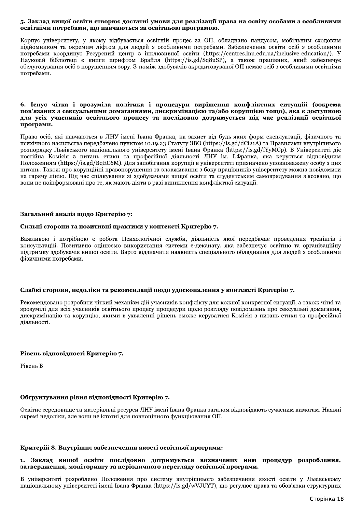### 5. Заклад вищої освіти створює достатні умови для реалізації права на освіту особами з особливими освітніми потребами, що навчаються за освітньою програмою.

Корпус університету, у якому відбувається освітній процес за ОП, обладнано пандусом, мобільним сходовим підйомником та окремим ліфтом для людей з особливими потребами. Забезпечення освіти осіб з особливими потребами координує Ресурсний центр з інклюзивної освіти (https://centres.lnu.edu.ua/inclusive-education/). У Hayковій бібліотеці є книги шрифтом Брайля (https://is.gd/Sq8uSP), а також працівник, який забезпечує обслуговування осіб з порушенням зору. З-поміж здобувачів акредитовуваної ОП немає осіб з особливими освітніми потребами.

## 6. Існує чітка і зрозуміла політика і процедури вирішення конфліктних ситуацій (зокрема пов'язаних з сексуальними домаганнями, дискримінацією та/або корупцією тощо), яка є доступною для усіх учасників освітнього процесу та послідовно дотримується під час реалізації освітньої програми.

Право осіб, які навчаються в ЛНУ імені Івана Франка, на захист від будь-яких форм експлуатації, фізичного та психічного насильства передбачено пунктом 10.19.23 Статуту ЗВО (https://is.gd/dCi21A) та Правилами внутрішнього розпорядку Львівського національного університету імені Івана Франка (https://is.gd/fYyMCp). В Університеті діє постійна Комісія з питань етики та професійної діяльності ЛНУ ім. І.Франка, яка керується відповідним Положенням (https://is.gd/BqEC6M). Для запобігання корупції в університеті призначено уповноважену особу з цих питань. Також про корупційні правопорушення та зловживання з боку працівників університету можна повідомити на гарячу лінію. Під час спілкування зі здобувачами вищої освіти та студентським самоврядування з'ясовано, що вони не поінформовані про те, як мають діяти в разі виникнення конфліктної ситуації.

## Загальний аналіз щодо Критерію 7:

## Сильні сторони та позитивні практики у контексті Критерію 7.

Важливою і потрібною є робота Психологічної служби, діяльність якої передбачає проведення тренінгів і консультацій. Позитивно оцінюємо використання системи е-деканату, яка забезпечує освітню та організаційну підтримку здобувачів вищої освіти. Варто відзначити наявність спеціального обладнання для людей з особливими фізичними потребами.

## Слабкі сторони, недоліки та рекомендації щодо удосконалення у контексті Критерію 7.

Рекомендовано розробити чіткий механізм дій учасників конфлікту для кожної конкретної ситуації, а також чіткі та зрозумілі для всіх учасників освітнього процесу процедури щодо розгляду повідомлень про сексуальні домагання, дискримінацію та корупцію, якими в ухваленні рішень зможе керуватися Комісія з питань етики та професійної діяльності.

# Рівень відповідності Критерію 7.

Рівень В

# Обґрунтування рівня відповідності Критерію 7.

Освітнє середовище та матеріальні ресурси ЛНУ імені Івана Франка загалом відповідають сучасним вимогам. Наявні окремі недоліки, але вони не істотні для повноцінного функціювання ОП.

## Критерій 8. Внутрішнє забезпечення якості освітньої програми:

## 1. Заклад вищої освіти послідовно дотримується визначених ним процедур розроблення, затвердження, моніторингу та періодичного перегляду освітньої програми.

В університеті розроблено Положення про систему внутрішнього забезпечення якості освіти у Львівському національному університеті імені Івана Франка (https://is.gd/wVJUYT), що регулює права та обов'язки структурних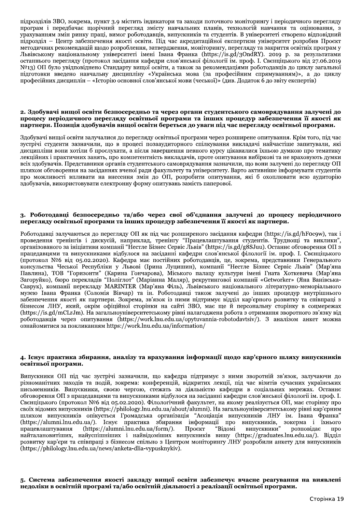підрозділів ЗВО, зокрема, пункт 3.9 містить індикатори та заходи поточного моніторингу і періодичного перегляду програм і передоачає щорічний перегляд змісту навчальних планів, технологій навчання та оцінювання, з урахуванням змін ринку праці, вимог роботодавців, випускників та студентів. В університеті створено відповіднии підрозділ — Центр заоезпечення якості освіти. Під час акреди підрозділів ЗВО, зокрема, пункт 3.9 містить індикатори та заходи поточного моніторингу і періодичного перегляду<br>програм і передбачає щорічний перегляд змісту навчальних планів, технологій навчання та оцінювання, з<br>урахува ичних рекомендаціи щодо розроолення, затвердження, моніторингу, перегляду та закриття освітніх програм у Львівському національному університеті імені Івана Франка (https://is.gd/3OndRY). 2019 р. за результатами останнього перегляду (протокол засідання кафедри слов янської філології ім. проф. 1. Свенціцького від 27.06.2019 ь індикатори та заходи поточного моніторингу і періодичного<br>д змісту навчальних планів, технологій навчання та оцін<br>тодавців, випускників та студентів. В університеті створено ві<br>віти. Під час акредитаційної експертизи ун №13) ОП було увідповіднено Стандарту вищої освіти, а також за рекомендаціями роботодавців до , пункт 3.9 містить індикатори та заходи поточного<br>порічний перегляд змісту навчальних планів, те<br>праці, вимог роботодавців, випускників та студент<br>печення якості освіти. Під час акредитаційної ек<br>й щодо розроблення, затв підрозділів ЗВО, зокрема, пункт 3.9 містить індикатори та заходи поточного моніторингу і періодичного перегляду<br>програм і передбачає щорічний перегляд змісту навчальних планів, технологій навчання та оціновання, з<br>урахува готовки введено навчальну дисципліну «Українська мова (за професійним спрямуванням)», а до циклу т 3.9 містить індикатори та заходи поточного моніторингу і періодичного пе<br/>ий перегляд змісту навчальних планів, технологій навчання та оцінов вим<br/>т оботодавців, виту канчальних планів, технологій навчання та оці професіиних дисциплін — «Історію основної слов янської мови (чеської)» (див. Додаток 6 до звіту експертів) редбачає щорічний перегляд змісту навчальних планів, технологій навчили ринку праці, вимог роботодавців, випускників та студентів. В університе<br>тетр забезпечення якості освіти. Під час акредитаційної експертизи університ<br>

### 2. Здобувачі вищої освіти безпосередньо та через органи студентського самоврядування залучені до процесу періодичного перегляду освітньої програми та інших процедур забезпечення її якості як партнери. Позиція здобувачів вищої освіти береться до уваги під час перегляду освітньої програми.

здооувачі вищої освіти залучалися до перегляду освітньої програми через розширене опитування. Крім того, під час проресиних дисципин – «сторио ос проресиних дисципин – «сторио ос процесу періодичного перегляд<br>
процесу періодичного перегляд<br>
партнери. Позиція здобувачів ви<br>
Здобувачі вищої освіти залучалися до<br>
зустрічі студенти зазн основного слов анськог мови (чеськог) / (днь. додаток о до звну скенернь)<br> **осередньо та через органи студентського самоврядування залучені**<br>
ду освітньої програми та інших процедур забезпечення її якості<br>
ищої освіти бе зустрічі студенти зазначили, що в процесі позааудиторного спілкування викладачі наичастіше запитували, які дисципліни вони хотіли о прослухати, а після завершення певного курсу цікавилися іхньою думкою про тематику .. Здобувачі вищої освіти безпосередньо та через органи студентського самоврядування залу<br>процесу періодичного перегляду освітньої програми та інших процедур забезпечення її як<br>артиери. Позиція здобувачів вищої освіти бер лекціиних і практичних занять, про компетентність викладачів, проте опитування виоіркові та не враховують думки всіх здооувачів. Представники органів студентського самоврядування зазначили, що вони залучені до перегляду ОП шляхом ооговорення на засіданнях вченої ради факультету та університету. Варто активніше інформувати студентів ного перегляду освітньої програми<br>и здобувачів вищої освітньої програми<br>и здобувачів вищої освіти береться до<br>ти залучалися до перегляду освітньої прог<br>значили, що в процесі позааудиторного<br>гіли б прослухати, а після заве про можливості впливати на внесення змін до OII, розробити опитування, які о охоплювати всю аудиторію здобувачів, використовувати електронну форму опитувань замість паперової. "<br>"Здобувачі вищої освіти зазначили, що в процесі позааудиторного спілкування викладачі найчастіше запитували, які<br>"дисципліни вони хотіли б прослухати, а після завершення певного курсу цікавилися їхньою думкою про темати

авці залучаються до перегляду OII як під час розширеного засідання кафедри (nttps://is.gd/nF0c9w), так і проведення тренінгів і дискусіи, наприклад, тренінгу Працевлаштування студентів. Груднощі та виклики , 3. Роботодавці безпосередньо та/або через свої об'єднання залучені до процесу періодичного<br>перегляду освітньої програми та інших процедур забезпечення її якості як партнери.<br>Роботодавці залучаются до перегляду ОП як під авцями та випускниками відоулося на засіданні кафедр 3. Роботодавці безпосередньо та/або через свої об'єднання залучені до процесу періодичного<br>перегляду освітньої програми та інших процедур забезпечення її якості як партнери.<br>Роботодавці залучаються до перегляду ОП як під 05.02.2020). Кафедра має постійних роботодавців, це, зокрема, предс 3. Роботодавці безпосередньо та/або через свої об'єднання залучені до процесу періодичного перегляду освітньої програми та інших процедур забезпечення її якості як партнери.<br>
Роботодавці залучаються до перегляду ОП як пі павлина), 10В поризонти (Карина Гончарова), Міського палацу культури імені Іната Хоткевича (Мар'яна) загоруико), оюро переклади гения и Дирациевного засідання кафедри і Грацій (https://is.gd/hFocor искусій, наприклад, тренінгу "Працевлаштування студентів. Трудноші та в и компанії "Нестле Бізнес Сервіс Львів" (https://is.gd/g8SJuu). Останне обговор Роботодавці залучаються до перегляду ОП як під час розширеного засідання кафедри (https://is.gd/hFocgw), так і проведення тренінгів і дискусій, наприклад, тренінгі ріддень<br/>ланни студенті приклад, тренінгі і дискусій, Саврук), компанії перекладу MARINTER (Мар'яна Філь), Львівського національного літературно-меморіального музею Івана Франка (Соломія Вівчар) та ін. Роботодавці також залучені до інших процедур внутрішнього заоезпечення якості як партнери. Зокрема, зв'язок із ними підтримує відді. працедавцями та випускниками відбулося на засіданні кафедри слов'янської філології ім. проф. І. Свенціцького<br>(протокол №6 від о5.02.2020). Кафедра має постійних роботодавців, це, зокрема, представиних Генерального<br>Консуль бізнесом ЛНУ, який, окрім офіційної сторінки на сайті ЗВО, має ще й персональну сторінку в соцмережах (nttps://is.gd/mCLrJm). На загальноуніверситетському рівні налагоджена рооота з отримання зворотного зв язку від роботодавців через опитування (https://work.inu.edu.ua/opytuvannia-robotodavtsiv/). З аналізом анкет можна ознайомитися за покликанням https://work.lnu.edu.ua/information/

## 4. Існує практика збирання, аналізу та врахування інформації щодо кар'єрного шляху випускників освітньої програми.

випускники ОП під час зустрічі зазначили, що кафедра підтримує з ними зворотній звязок, залучаючи до різноманітних заходів та подіи, зокрема: конференціи, відк иння **інформації щодо кар'єрного ш.**<br>Федра підтримує з ними зворотній зв'я<br>цій, відкритих лекції, під час візитів су<br>ь за діяльністю кафедри в соціальних<br>булося на засіданні кафедри слов'янської ф<br>ічний факультет, на яком 4. Існує практика абирання, аналізу та врахування інформації щодо кар'єрного шляху випускників<br>
освітньої програми.<br>
Випускники ОП під час зустрічі зазначили, що кафедра підтримує з ними зворотній зв'язок, залучаючи до<br> ипускники, своєю чергою, стежать за діяльністю кафедри в соціальних мережах. Останнє ооговорення ОП з працедавцями та випускниками відоулося на засіданні кафедр 4. Існує практика абирання, аналізу та врахування інформації щодо кар'єрного шляху випускників освітньої програми.<br>
Випускники ОП під час зустрічі зазначили, що кафедра підтримує з ними зворотній зв'язок, залучаючи до рі 4. Існує практика збирання, аналізу та врахування інформації щодо кар'єрного шляху випускників освітньої програми.<br>
Випускники OII під час зустрічі зазначили, що кафедра підтримує з ними зворотній зв'язок, залучаючи до р своїх відомих випускників (https://philology.lnu.edu.ua/about/alumni). На загальноуніверситетському рівні кар'єрним шляхом випускників опікується Громадська організація "Асоціація випускників ЛНУ ім. Івана Франка"<br>(https://alumni.lnu.edu.ua/). Існує практика збирання інформації про випускників, зокерма і їхнього Випускники ОП під час зустрічі зазначили, що кафедра підтримує з ними зворотній зв'язок, залучаючи до<br>різноманітних заходів та подій, зокрема: конференцій, відкритих лекції, під час візитів сучасних українських<br>письменник "Відомі омі випускники розповідає про наиталановитших, наиуспшніших і наивідоміших випускників вишу (https://graduates.inu.edu.ua/). Відділ розвитку кар єри та співпраці з оізнесом спільно з Центром моніторингу ЛНУ розробили анкету для випускників  $\overline{h}$ (https://philology.lnu.edu.ua/news/anketa-dlia-vypusknykiv).

5. Система забезпечення якості закладу вищої освіти забезпечує вчасне реагування на виявлені недоліки в освітній програмі та/або освітній діяльності з реалізації освітньої програми.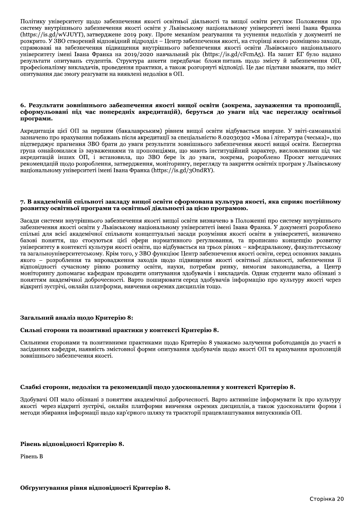Політику університету щодо забезпечення якості освітньої діяльності та вищої освіти регулює Положення про систему внутрішнього забезпечення якості освіти у Львівському національному університеті імені Івана Франка (https://is.gd/wVJUYT), затверджене 2019 року. Проте механізм реагування та усунення недоліків у документі не розкрито. У ЗВО створений відповідний підрозділ - Центр забезпечення якості, на сторінці якого розміщено заходи, спрямовані на забезпечення підвищення внутрішнього забезпечення якості освіти Львівського національного університету імені Івана Франка на 2019/2020 навчальний рік (https://is.gd/cFcmA5). На запит ЕГ було надано результати опитувань студентів. Структура анкети передбачає блоки питань щодо змісту й забезпечення ОП, професіоналізму викладачів, проведення практики, а також розгорнуті відповіді. Це дає підстави вважати, що зміст опитування дає змогу реагувати на виявлені недоліки в ОП.

#### 6. Результати зовнішнього забезпечення якості вищої освіти (зокрема, зауваження та пропозиції, сформульовані під час попередніх акредитацій), беруться до уваги під час перегляду освітньої програми.

Акредитація цієї ОП за першим (бакалаврським) рівнем вищої освіти відбувається вперше. У звіті-самоаналізі зазначено про врахування побажань після акредитації за спеціальністю 8.02030302 «Мова і література (чеська)», що підтверджує прагнення ЗВО брати до уваги результати зовнішнього забезпечення якості вишої освіти. Експертна група ознайомилася із зауваженнями та пропозиціями, що мають інституційний характер, висловленими під час акредитацій інших ОП, і встановила, що ЗВО бере їх до уваги, зокрема, розроблено Проєкт методичних рекомендацій щодо розроблення, затвердження, моніторингу, перегляду та закриття освітніх програм у Львівському національному університеті імені Івана Франка (https://is.gd/3OndRY).

## 7. В академічній спільноті закладу вищої освіти сформована культура якості, яка сприяє постійному розвитку освітньої програми та освітньої діяльності за цією програмою.

Засади системи внутрішнього забезпечення якості вищої освіти визначено в Положенні про систему внутрішнього забезпечення якості освіти у Львівському національному університеті імені Івана Франка. У документі розроблено спільні для всієї академічної спільноти концептуальні засади розуміння якості освіти в університеті, визначено базові поняття, що стосуються цієї сфери нормативного регулювання, та прописано концепцію розвитку університету в контексті культури якості освіти, що відбувається на трьох рівнях - кафедральному, факультетському та загальноуніверситетському. Крім того, у ЗВО функціює Центр забезпечення якості освіти, серед основних завдань якого - розроблення та впровадження заходів щодо підвищення якості освітньої діяльності, забезпечення її відповідності сучасному рівню розвитку освіти, науки, потребам ринку, вимогам законодавства, а Центр моніторингу допомагає кафедрам проводити опитування здобувачів і викладачів. Однак студенти мало обізнані з поняттям академічної доброчесності. Варто поширювати серед здобувачів інформацію про культуру якості через відкриті зустрічі, онлайн платформи, вивчення окремих дисциплін тощо.

## Загальний аналіз щодо Критерію 8:

## Сильні сторони та позитивні практики у контексті Критерію 8.

Сильними сторонами та позитивними практиками щодо Критерію 8 уважаємо залучення роботодавців до участі в засіданнях кафедри, наявність змістовної форми опитування здобувачів щодо якості ОП та врахування пропозицій зовнішнього забезпечення якості.

## Слабкі сторони, недоліки та рекомендації щодо удосконалення у контексті Критерію 8.

Здобувачі ОП мало обізнані з поняттям академічної доброчесності. Варто активніше інформувати їх про культуру якості через відкриті зустрічі, онлайн платформи вивчення окремих дисциплін, а також удосконалити форми і методи збирання інформації щодо кар'єрного шляху та траєкторії працевлаштування випускників ОП.

## Рівень відповідності Критерію 8.

Рівень В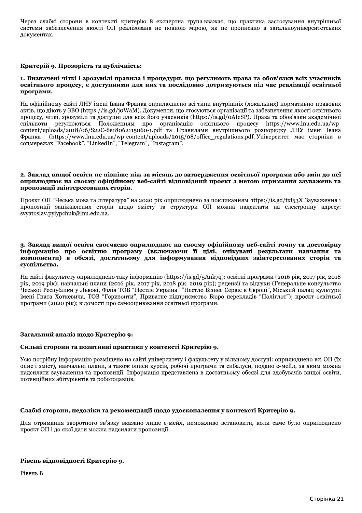Через слабкі сторони в контексті критерію 8 експертна група вважає, що практика застосування внутрішньої системи забезпечення якості ОП реалізована не повною мірою, як це прописано в загальноуніверситетських документах.

## Критерій 9. Прозорість та публічність:

#### 1. Визначені чіткі і зрозумілі правила і процедури, що регулюють права та обов'язки всіх учасників освітнього процесу, є доступними для них та послідовно дотримуються під час реалізації освітньої програми.

На офіційному сайті ЛНУ імені Івана Франка оприлюднено всі типи внутрішніх (локальних) нормативно-правових актів, що діють у ЗВО (https://is.gd/joWaM). Документи, що стосуються організації та забезпечення якості освітнього процесу, чіткі, зрозумілі та доступні для всіх його учасників (https://is.gd/oAIeSP). Права та обов'язки академічної спільноти регулюються Положенням про організацію освітнього процесу https://www.lnu.edu.ua/wpcontent/uploads/2018/06/S22C-6e18062115060-1.pdf та Правилами внутрішнього розпорядку ЛНУ імені Івана (https://www.lnu.edu.ua/wp-content/uploads/2015/08/office regulations.pdf. Університет має сторніки в Франка соцмережах "Facebook", "LinkedIn", "Telegram", "Instagram".

### 2. Заклад вищої освіти не пізніше ніж за місяць до затвердження освітньої програми або змін до неї оприлюднює на своєму офіційному веб-сайті відповідний проект з метою отримання зауважень та пропозиції заінтересованих сторін.

Проект ОП "Чеська мова та література" на 2020 рік оприлюднено за покликанням https://is.gd/txf53X Зауваження і пропозиції зацікавлених сторін щодо змісту та структури ОП можна надсилати на електронну адресу: svyatoslav.pylypchuk@lnu.edu.ua.

### з. Заклал вишої освіти своєчасно оприлюлнює на своєму офіційному веб-сайті точну та лостовірну інформацію про освітню програму (включаючи її цілі, очікувані результати навчання та компоненти) в обсязі, достатньому для інформування відповідних заінтересованих сторін та суспільства.

На сайті факультету оприлюднено таку інформацію (https://is.gd/5Ank7q): освітні програми (2016 рік, 2017 рік, 2018 рік, 2019 рік); навчальні плани (2016 рік, 2017 рік, 2018 рік, 2019 рік); рецензії та відгуки (Генеральне консульство<br>Чеської Республіки у Львові, Філія ТОВ "Нестле Україна" "Нестле Бізнес Сервіс в Європі", Міський палац імені Гната Хоткевича, ТОВ "Горизонти", Приватне підприємство Бюро перекладів "Поліглот"); проєкт освітньої програми (2020 рік); відомості про самооцінювання освітньої програми.

## Загальний аналіз щодо Критерію 9:

#### Сильні сторони та позитивні практики у контексті Критерію 9.

Усю потрібну інформацію розміщено на сайті університету і факультету у вільному доступі: оприлюднено всі ОП (їх опис і зміст), навчальні плани, а також описи курсів, робочі програми та сибалуси, подано е-мейл, за яким можна надсилати зауваження та пропозиції. Інформація представлена в достатньому обсязі для здобувачів вищої освіти, потенційних абітурієнтів та роботодавців.

## Слабкі сторони, недоліки та рекомендації щодо удосконалення у контексті Критерію 9.

Для отримання зворотного зв'язку вказано лише е-мейл, неможливо встановити, коли саме було оприлюднено проєкт ОП і до якої дати можна надсилати пропозиції.

## Рівень відповідності Критерію 9.

Рівень В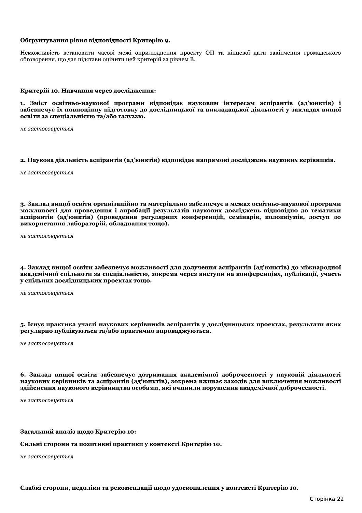## Обґрунтування рівня відповідності Критерію 9.

Неможливість встановити часові межі оприлюднення проєкту ОП та кінцевої дати закінчення громадського обговорення, що дає підстави оцінити цей критерій за рівнем В.

### Критерій 10. Навчання через дослідження:

1. Зміст освітньо-наукової програми відповідає науковим інтересам аспірантів (ад'юнктів) і забезпечує їх повноцінну підготовку до дослідницької та викладацької діяльності у закладах вищої освіти за спеціальністю та/або галуззю.

не застосовується

#### 2. Наукова діяльність аспірантів (ад'юнктів) відповідає напрямові досліджень наукових керівників.

не застосовується

3. Заклад вищої освіти організаційно та матеріально забезпечує в межах освітньо-наукової програми можливості для проведення і апробації результатів наукових досліджень відповідно до тематики аспірантів (ад'юнктів) (проведення регулярних конференцій, семінарів, колоквіумів, доступ до використання лабораторій, обладнання тощо).

не застосовується

4. Заклад вищої освіти забезпечує можливості для долучення аспірантів (ад'юнктів) до міжнародної академічної спільноти за спеціальністю, зокрема через виступи на конференціях, публікації, участь у спільних дослідницьких проектах тощо.

не застосовується

5. Існує практика участі наукових керівників аспірантів у дослідницьких проектах, результати яких регулярно публікуються та/або практично впроваджуються.

не застосовується

6. Заклад вищої освіти забезпечує дотримання академічної доброчесності у науковій діяльності наукових керівників та аспірантів (ад'юнктів), зокрема вживає заходів для виключення можливості здійснення наукового керівництва особами, які вчинили порушення академічної доброчесності.

не застосовиється

## Загальний аналіз щодо Критерію 10:

Сильні сторони та позитивні практики у контексті Критерію 10.

не застосовується

Слабкі сторони, недоліки та рекомендації щодо удосконалення у контексті Критерію 10.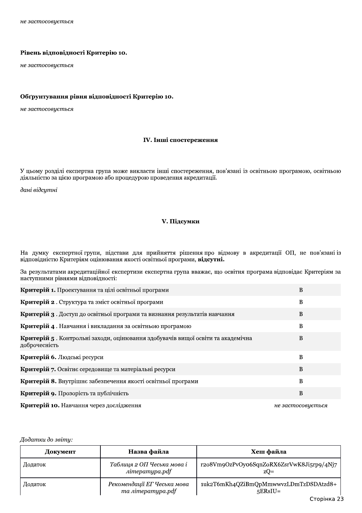## Рівень відповідності Критерію 10.

не застосовується

## Обґрунтування рівня відповідності Критерію 10.

не застосовується

## IV. Інші спостереження

У цьому розділі експертна група може викласти інші спостереження, пов'язані із освітньою програмою, освітньою діяльністю за цією програмою або процедурою проведення акредитації.

дані відсутні

# **V.** Підсумки

На думку експертної групи, підстави для прийняття рішення про відмову в акредитації ОП, не пов'язані із відповідністю Критеріям оцінювання якості освітньої програми, відсутні.

За результатами акредитаційної експертизи експертна група вважає, що освітня програма відповідає Критеріям за наступними рівнями відповідності:

| Критерій 1. Проектування та цілі освітньої програми                                              | B                 |
|--------------------------------------------------------------------------------------------------|-------------------|
| Критерій 2. Структура та зміст освітньої програми                                                | B                 |
| Критерій 3. Доступ до освітньої програми та визнання результатів навчання                        | B                 |
| Критерій 4. Навчання і викладання за освітньою програмою                                         | B                 |
| Критерій 5. Контрольні заходи, оцінювання здобувачів вищої освіти та академічна<br>доброчесність | B                 |
| Критерій 6. Людські ресурси                                                                      | B                 |
| Критерій 7. Освітнє середовище та матеріальні ресурси                                            | B                 |
| Критерій 8. Внутрішнє забезпечення якості освітньої програми                                     | B                 |
| Критерій 9. Прозорість та публічність                                                            | B                 |
| Критерій 10. Навчання через дослідження                                                          | не застосовується |

#### Додатки до звіту:

| Документ | Назва файла                                           | Хеш файла                                          |
|----------|-------------------------------------------------------|----------------------------------------------------|
| Додаток  | Таблиця 2 ОП Чеська мова і<br>література.pdf          | r2o8Vm9OzPvOyo6SqnZoRX6ZsrVwK8Ji5rp9/4Nj7<br>$ZQ=$ |
| Додаток  | Рекомендації ЕГ Чеська мова<br>$ma \, nimepamypa.pdf$ | 1uk2T6mKh4QZiBmQpMmwwvzLDmTzDSDAtzd8+<br>$5ERsIU=$ |
|          |                                                       | Сторінка 23                                        |